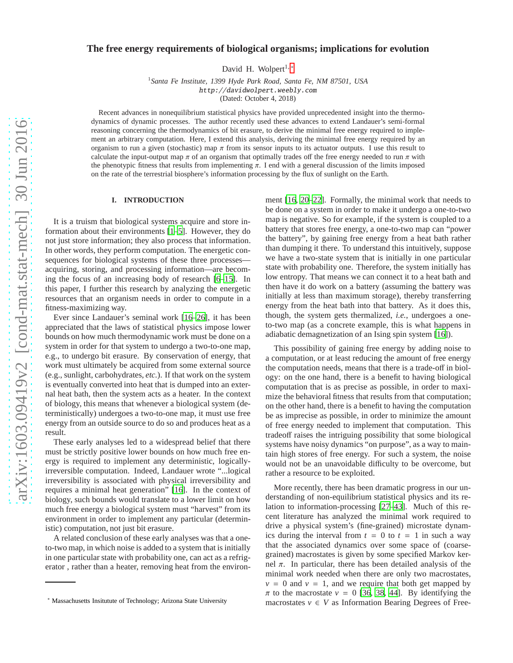# **The free energy requirements of biological organisms; implications for evolution**

David H. Wolpert<sup>1,\*</sup>

<sup>1</sup>*Santa Fe Institute, 1399 Hyde Park Road, Santa Fe, NM 87501, USA* http://davidwolpert.weebly.com

(Dated: October 4, 2018)

Recent advances in nonequilibrium statistical physics have provided unprecedented insight into the thermodynamics of dynamic processes. The author recently used these advances to extend Landauer's semi-formal reasoning concerning the thermodynamics of bit erasure, to derive the minimal free energy required to implement an arbitrary computation. Here, I extend this analysis, deriving the minimal free energy required by an organism to run a given (stochastic) map  $\pi$  from its sensor inputs to its actuator outputs. I use this result to calculate the input-output map  $\pi$  of an organism that optimally trades off the free energy needed to run  $\pi$  with the phenotypic fitness that results from implementing  $\pi$ . I end with a general discussion of the limits imposed on the rate of the terrestrial biosphere's information processing by the flux of sunlight on the Earth.

### **I. INTRODUCTION**

It is a truism that biological systems acquire and store information about their environments [\[1](#page-17-0)[–5\]](#page-17-1). However, they do not just store information; they also process that information. In other words, they perform computation. The energetic consequences for biological systems of these three processes acquiring, storing, and processing information—are becoming the focus of an increasing body of research [\[6](#page-17-2)[–15\]](#page-17-3). In this paper, I further this research by analyzing the energetic resources that an organism needs in order to compute in a fitness-maximizing way.

Ever since Landauer's seminal work [\[16](#page-17-4)[–26\]](#page-17-5), it has been appreciated that the laws of statistical physics impose lower bounds on how much thermodynamic work must be done on a system in order for that system to undergo a two-to-one map, e.g., to undergo bit erasure. By conservation of energy, that work must ultimately be acquired from some external source (e.g., sunlight, carbohydrates, *etc.*). If that work on the system is eventually converted into heat that is dumped into an external heat bath, then the system acts as a heater. In the context of biology, this means that whenever a biological system (deterministically) undergoes a two-to-one map, it must use free energy from an outside source to do so and produces heat as a result.

These early analyses led to a widespread belief that there must be strictly positive lower bounds on how much free energy is required to implement any deterministic, logicallyirreversible computation. Indeed, Landauer wrote "...logical irreversibility is associated with physical irreversibility and requires a minimal heat generation" [\[16](#page-17-4)]. In the context of biology, such bounds would translate to a lower limit on how much free energy a biological system must "harvest" from its environment in order to implement any particular (deterministic) computation, not just bit erasure.

A related conclusion of these early analyses was that a oneto-two map, in which noise is added to a system that is initially in one particular state with probability one, can act as a refrigerator , rather than a heater, removing heat from the environment [\[16](#page-17-4), [20](#page-17-6)[–22\]](#page-17-7). Formally, the minimal work that needs to be done on a system in order to make it undergo a one-to-two map is negative. So for example, if the system is coupled to a battery that stores free energy, a one-to-two map can "power the battery", by gaining free energy from a heat bath rather than dumping it there. To understand this intuitively, suppose we have a two-state system that is initially in one particular state with probability one. Therefore, the system initially has low entropy. That means we can connect it to a heat bath and then have it do work on a battery (assuming the battery was initially at less than maximum storage), thereby transferring energy from the heat bath into that battery. As it does this, though, the system gets thermalized, *i.e.*, undergoes a oneto-two map (as a concrete example, this is what happens in adiabatic demagnetization of an Ising spin system [\[16\]](#page-17-4)).

This possibility of gaining free energy by adding noise to a computation, or at least reducing the amount of free energy the computation needs, means that there is a trade-off in biology: on the one hand, there is a benefit to having biological computation that is as precise as possible, in order to maximize the behavioral fitness that results from that computation; on the other hand, there is a benefit to having the computation be as imprecise as possible, in order to minimize the amount of free energy needed to implement that computation. This tradeoff raises the intriguing possibility that some biological systems have noisy dynamics "on purpose", as a way to maintain high stores of free energy. For such a system, the noise would not be an unavoidable difficulty to be overcome, but rather a resource to be exploited.

More recently, there has been dramatic progress in our understanding of non-equilibrium statistical physics and its relation to information-processing [\[27](#page-17-8)[–43](#page-17-9)]. Much of this recent literature has analyzed the minimal work required to drive a physical system's (fine-grained) microstate dynamics during the interval from  $t = 0$  to  $t = 1$  in such a way that the associated dynamics over some space of (coarsegrained) macrostates is given by some specified Markov kernel  $\pi$ . In particular, there has been detailed analysis of the minimal work needed when there are only two macrostates,  $v = 0$  and  $v = 1$ , and we require that both get mapped by  $\pi$  to the macrostate  $v = 0$  [\[36,](#page-17-10) [38,](#page-17-11) [44\]](#page-17-12). By identifying the macrostates  $v \in V$  as Information Bearing Degrees of Free-

<span id="page-0-0"></span><sup>∗</sup> Massachusetts Insitutute of Technology; Arizona State University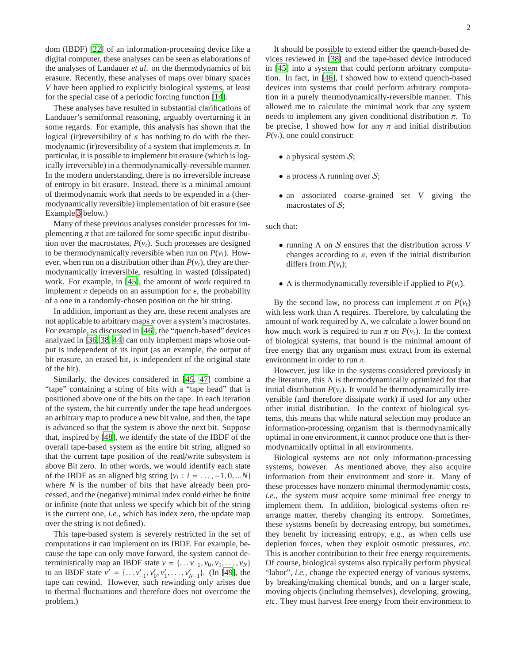dom (IBDF) [\[22\]](#page-17-7) of an information-processing device like a digital computer, these analyses can be seen as elaborations of the analyses of Landauer *et al*. on the thermodynamics of bit erasure. Recently, these analyses of maps over binary spaces *V* have been applied to explicitly biological systems, at least for the special case of a periodic forcing function [\[14\]](#page-17-13).

These analyses have resulted in substantial clarifications of Landauer's semiformal reasoning, arguably overturning it in some regards. For example, this analysis has shown that the logical (ir) reversibility of  $\pi$  has nothing to do with the thermodynamic (ir)reversibility of a system that implements  $\pi$ . In particular, it is possible to implement bit erasure (which is logically irreversible) in a thermodynamically-reversible manner. In the modern understanding, there is no irreversible increase of entropy in bit erasure. Instead, there is a minimal amount of thermodynamic work that needs to be expended in a (thermodynamically reversible) implementation of bit erasure (see Example [3](#page-5-0) below.)

Many of these previous analyses consider processes for implementing  $\pi$  that are tailored for some specific input distribution over the macrostates,  $P(v_t)$ . Such processes are designed to be thermodynamically reversible when run on  $P(v_t)$ . However, when run on a distribution other than  $P(v_t)$ , they are thermodynamically irreversible, resulting in wasted (dissipated) work. For example, in [\[45\]](#page-18-0), the amount of work required to implement  $\pi$  depends on an assumption for  $\epsilon$ , the probability of a one in a randomly-chosen position on the bit string.

In addition, important as they are, these recent analyses are not applicable to arbitrary maps  $\pi$  over a system's macrostates. For example, as discussed in [\[46\]](#page-18-1), the "quench-based" devices analyzed in [\[36](#page-17-10), [38,](#page-17-11) [44\]](#page-17-12) can only implement maps whose output is independent of its input (as an example, the output of bit erasure, an erased bit, is independent of the original state of the bit).

Similarly, the devices considered in [\[45](#page-18-0), [47](#page-18-2)] combine a "tape" containing a string of bits with a "tape head" that is positioned above one of the bits on the tape. In each iteration of the system, the bit currently under the tape head undergoes an arbitrary map to produce a new bit value, and then, the tape is advanced so that the system is above the next bit. Suppose that, inspired by [\[48](#page-18-3)], we identify the state of the IBDF of the overall tape-based system as the entire bit string, aligned so that the current tape position of the read/write subsystem is above Bit zero. In other words, we would identify each state of the IBDF as an aligned big string  $\{v_i : i = \ldots, -1, 0, \ldots N\}$ where *N* is the number of bits that have already been processed, and the (negative) minimal index could either be finite or infinite (note that unless we specify which bit of the string is the current one, *i.e.*, which has index zero, the update map over the string is not defined).

This tape-based system is severely restricted in the set of computations it can implement on its IBDF. For example, because the tape can only move forward, the system cannot deterministically map an IBDF state  $v = \{ \ldots v_{-1}, v_0, v_1, \ldots, v_N \}$ to an IBDF state  $v' = \{ \dots v'_{-1}, v'_0, v'_1, \dots, v'_{N-1} \}$ . (In [\[49\]](#page-18-4), the tape can rewind. However, such rewinding only arises due to thermal fluctuations and therefore does not overcome the problem.)

It should be possible to extend either the quench-based devices reviewed in [\[38\]](#page-17-11) and the tape-based device introduced in [\[45\]](#page-18-0) into a system that could perform arbitrary computation. In fact, in [\[46](#page-18-1)], I showed how to extend quench-based devices into systems that could perform arbitrary computation in a purely thermodynamically-reversible manner. This allowed me to calculate the minimal work that any system needs to implement any given conditional distribution  $\pi$ . To be precise, I showed how for any  $\pi$  and initial distribution  $P(v_t)$ , one could construct:

- a physical system  $S$ ;
- a process  $\Lambda$  running over  $\mathcal{S}$ ;
- an associated coarse-grained set *V* giving the macrostates of  $S$ ;

such that:

- running Λ on S ensures that the distribution across *V* changes according to  $\pi$ , even if the initial distribution differs from  $P(v_t)$ ;
- $\Lambda$  is thermodynamically reversible if applied to  $P(v_t)$ .

By the second law, no process can implement  $\pi$  on  $P(\nu_t)$ with less work than  $\Lambda$  requires. Therefore, by calculating the amount of work required by  $\Lambda$ , we calculate a lower bound on how much work is required to run  $\pi$  on  $P(v_t)$ . In the context of biological systems, that bound is the minimal amount of free energy that any organism must extract from its external environment in order to run  $\pi$ .

However, just like in the systems considered previously in the literature, this  $\Lambda$  is thermodynamically optimized for that initial distribution  $P(v_t)$ . It would be thermodynamically irreversible (and therefore dissipate work) if used for any other other initial distribution. In the context of biological systems, this means that while natural selection may produce an information-processing organism that is thermodynamically optimal in one environment, it cannot produce one that is thermodynamically optimal in all environments.

Biological systems are not only information-processing systems, however. As mentioned above, they also acquire information from their environment and store it. Many of these processes have nonzero minimal thermodynamic costs, *i.e.*, the system must acquire some minimal free energy to implement them. In addition, biological systems often rearrange matter, thereby changing its entropy. Sometimes, these systems benefit by decreasing entropy, but sometimes, they benefit by increasing entropy, e.g., as when cells use depletion forces, when they exploit osmotic pressures, *etc*. This is another contribution to their free energy requirements. Of course, biological systems also typically perform physical "labor", *i.e.*, change the expected energy of various systems, by breaking/making chemical bonds, and on a larger scale, moving objects (including themselves), developing, growing, *etc*. They must harvest free energy from their environment to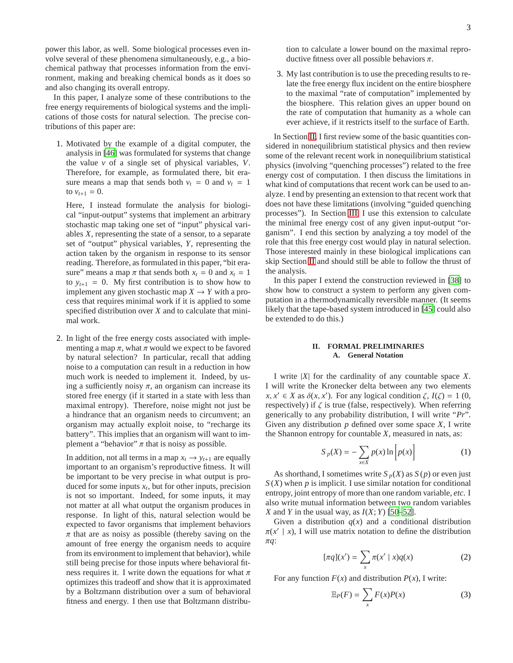power this labor, as well. Some biological processes even involve several of these phenomena simultaneously, e.g., a biochemical pathway that processes information from the environment, making and breaking chemical bonds as it does so and also changing its overall entropy.

In this paper, I analyze some of these contributions to the free energy requirements of biological systems and the implications of those costs for natural selection. The precise contributions of this paper are:

1. Motivated by the example of a digital computer, the analysis in [\[46\]](#page-18-1) was formulated for systems that change the value *v* of a single set of physical variables, *V*. Therefore, for example, as formulated there, bit erasure means a map that sends both  $v_t = 0$  and  $v_t = 1$ to  $v_{t+1} = 0$ .

Here, I instead formulate the analysis for biological "input-output" systems that implement an arbitrary stochastic map taking one set of "input" physical variables *X*, representing the state of a sensor, to a separate set of "output" physical variables, *Y*, representing the action taken by the organism in response to its sensor reading. Therefore, as formulated in this paper, "bit erasure" means a map  $\pi$  that sends both  $x_t = 0$  and  $x_t = 1$ to  $y_{t+1} = 0$ . My first contribution is to show how to implement any given stochastic map  $X \to Y$  with a process that requires minimal work if it is applied to some specified distribution over *X* and to calculate that minimal work.

2. In light of the free energy costs associated with implementing a map  $\pi$ , what  $\pi$  would we expect to be favored by natural selection? In particular, recall that adding noise to a computation can result in a reduction in how much work is needed to implement it. Indeed, by using a sufficiently noisy  $\pi$ , an organism can increase its stored free energy (if it started in a state with less than maximal entropy). Therefore, noise might not just be a hindrance that an organism needs to circumvent; an organism may actually exploit noise, to "recharge its battery". This implies that an organism will want to implement a "behavior"  $\pi$  that is noisy as possible.

In addition, not all terms in a map  $x_t \rightarrow y_{t+1}$  are equally important to an organism's reproductive fitness. It will be important to be very precise in what output is produced for some inputs  $x_t$ , but for other inputs, precision is not so important. Indeed, for some inputs, it may not matter at all what output the organism produces in response. In light of this, natural selection would be expected to favor organisms that implement behaviors  $\pi$  that are as noisy as possible (thereby saving on the amount of free energy the organism needs to acquire from its environment to implement that behavior), while still being precise for those inputs where behavioral fitness requires it. I write down the equations for what  $\pi$ optimizes this tradeoff and show that it is approximated by a Boltzmann distribution over a sum of behavioral fitness and energy. I then use that Boltzmann distribution to calculate a lower bound on the maximal reproductive fitness over all possible behaviors  $\pi$ .

3. My last contribution is to use the preceding results to relate the free energy flux incident on the entire biosphere to the maximal "rate of computation" implemented by the biosphere. This relation gives an upper bound on the rate of computation that humanity as a whole can ever achieve, if it restricts itself to the surface of Earth.

In Section [II,](#page-2-0) I first review some of the basic quantities considered in nonequilibrium statistical physics and then review some of the relevant recent work in nonequilibrium statistical physics (involving "quenching processes") related to the free energy cost of computation. I then discuss the limitations in what kind of computations that recent work can be used to analyze. I end by presenting an extension to that recent work that does not have these limitations (involving "guided quenching processes"). In Section [III,](#page-7-0) I use this extension to calculate the minimal free energy cost of any given input-output "organism". I end this section by analyzing a toy model of the role that this free energy cost would play in natural selection. Those interested mainly in these biological implications can skip Section [II](#page-2-0) and should still be able to follow the thrust of the analysis.

In this paper I extend the construction reviewed in [\[38\]](#page-17-11) to show how to construct a system to perform any given computation in a thermodynamically reversible manner. (It seems likely that the tape-based system introduced in [\[45](#page-18-0)] could also be extended to do this.)

# <span id="page-2-1"></span><span id="page-2-0"></span>**II. FORMAL PRELIMINARIES A. General Notation**

I write |*X*| for the cardinality of any countable space *X*. I will write the Kronecker delta between any two elements  $x, x' \in X$  as  $\delta(x, x')$ . For any logical condition  $\zeta$ ,  $I(\zeta) = 1$  (0, respectively) if  $\zeta$  is true (false, respectively). When referring generically to any probability distribution, I will write "*Pr*". Given any distribution *p* defined over some space *X*, I write the Shannon entropy for countable *X*, measured in nats, as:

$$
S_p(X) = -\sum_{x \in X} p(x) \ln \left[ p(x) \right] \tag{1}
$$

As shorthand, I sometimes write  $S_p(X)$  as  $S(p)$  or even just *S* (*X*) when *p* is implicit. I use similar notation for conditional entropy, joint entropy of more than one random variable, *etc*. I also write mutual information between two random variables *X* and *Y* in the usual way, as  $I(X; Y)$  [\[50](#page-18-5)[–52\]](#page-18-6).

Given a distribution  $q(x)$  and a conditional distribution  $\pi(x' \mid x)$ , I will use matrix notation to define the distribution π*q*:

$$
[\pi q](x') = \sum_{x} \pi(x' \mid x) q(x) \tag{2}
$$

For any function  $F(x)$  and distribution  $P(x)$ , I write:

$$
\mathbb{E}_P(F) = \sum_x F(x)P(x) \tag{3}
$$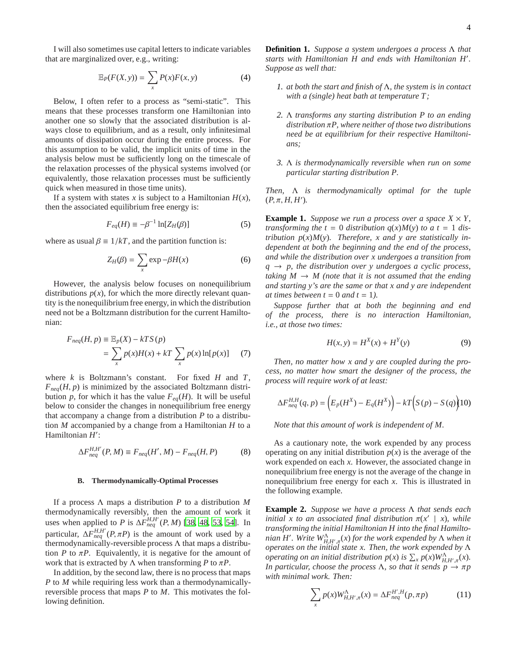I will also sometimes use capital letters to indicate variables that are marginalized over, e.g., writing:

$$
\mathbb{E}_P(F(X, y)) = \sum_{x} P(x)F(x, y)
$$
 (4)

Below, I often refer to a process as "semi-static". This means that these processes transform one Hamiltonian into another one so slowly that the associated distribution is always close to equilibrium, and as a result, only infinitesimal amounts of dissipation occur during the entire process. For this assumption to be valid, the implicit units of time in the analysis below must be sufficiently long on the timescale of the relaxation processes of the physical systems involved (or equivalently, those relaxation processes must be sufficiently quick when measured in those time units).

If a system with states *x* is subject to a Hamiltonian  $H(x)$ , then the associated equilibrium free energy is:

$$
F_{eq}(H) \equiv -\beta^{-1} \ln[Z_H(\beta)] \tag{5}
$$

where as usual  $\beta = 1/kT$ , and the partition function is:

$$
Z_H(\beta) = \sum_{x} \exp{-\beta H(x)} \tag{6}
$$

However, the analysis below focuses on nonequilibrium distributions  $p(x)$ , for which the more directly relevant quantity is the nonequilibrium free energy, in which the distribution need not be a Boltzmann distribution for the current Hamiltonian:

$$
F_{neq}(H, p) \equiv \mathbb{E}_p(X) - kTS(p)
$$
  
= 
$$
\sum_{x} p(x)H(x) + kT \sum_{x} p(x)\ln[p(x)] \qquad (7)
$$

where *k* is Boltzmann's constant. For fixed *H* and *T*,  $F_{neq}(H, p)$  is minimized by the associated Boltzmann distribution *p*, for which it has the value  $F_{eq}(H)$ . It will be useful below to consider the changes in nonequilibrium free energy that accompany a change from a distribution *P* to a distribution *M* accompanied by a change from a Hamiltonian *H* to a Hamiltonian  $\overline{H}$ <sup>'</sup>:

$$
\Delta F_{neq}^{H,H'}(P,M) \equiv F_{neq}(H',M) - F_{neq}(H,P) \tag{8}
$$

#### **B. Thermodynamically-Optimal Processes**

If a process Λ maps a distribution *P* to a distribution *M* thermodynamically reversibly, then the amount of work it uses when applied to *P* is  $\Delta F_{neq}^{H,H'}(P,M)$  [\[38,](#page-17-11) [48](#page-18-3), [53,](#page-18-7) [54\]](#page-18-8). In particular,  $\Delta F_{neq}^{H,H'}(P,\pi P)$  is the amount of work used by a thermodynamically-reversible process  $\Lambda$  that maps a distribution *P* to  $\pi P$ . Equivalently, it is negative for the amount of work that is extracted by  $\Lambda$  when transforming *P* to  $\pi P$ .

In addition, by the second law, there is no process that maps *P* to *M* while requiring less work than a thermodynamicallyreversible process that maps *P* to *M*. This motivates the following definition.

**Definition 1.** *Suppose a system undergoes a process* Λ *that starts with Hamiltonian H and ends with Hamiltonian H*′ *. Suppose as well that:*

- *1. at both the start and finish of* Λ*, the system is in contact with a (single) heat bath at temperature T;*
- *2.* Λ *transforms any starting distribution P to an ending distribution* π*P, where neither of those two distributions need be at equilibrium for their respective Hamiltonians;*
- *3.* Λ *is thermodynamically reversible when run on some particular starting distribution P.*

*Then,* Λ *is thermodynamically optimal for the tuple*  $(P, \pi, H, H')$ .

**Example 1.** *Suppose we run a process over a space*  $X \times Y$ , *transforming the t* = 0 *distribution*  $q(x)M(y)$  *to a t* = 1 *distribution p*(*x*)*M*(*y*)*. Therefore, x and y are statistically independent at both the beginning and the end of the process, and while the distribution over x undergoes a transition from*  $q \rightarrow p$ , the distribution over y undergoes a cyclic process, *taking*  $M \rightarrow M$  (note that it is not assumed that the ending *and starting y's are the same or that x and y are independent at times between*  $t = 0$  *and*  $t = 1$ *).* 

*Suppose further that at both the beginning and end of the process, there is no interaction Hamiltonian, i.e., at those two times:*

$$
H(x, y) = H^{X}(x) + H^{Y}(y)
$$
 (9)

*Then, no matter how x and y are coupled during the process, no matter how smart the designer of the process, the process will require work of at least:*

$$
\Delta F_{neq}^{H,H}(q, p) = \left( E_p(H^X) - E_q(H^X) \right) - kT \left( S(p) - S(q) \right)
$$
10)

*Note that this amount of work is independent of M.*

As a cautionary note, the work expended by any process operating on any initial distribution  $p(x)$  is the average of the work expended on each *x*. However, the associated change in nonequilibrium free energy is not the average of the change in nonequilibrium free energy for each *x*. This is illustrated in the following example.

**Example 2.** *Suppose we have a process* Λ *that sends each initial* x to an associated final distribution  $\pi(x' \mid x)$ , while *transforming the initial Hamiltonian H into the final Hamiltonian H'*. Write  $W_{H,H',\pi}^{\Lambda}(x)$  for the work expended by  $\Lambda$  when it *operates on the initial state x. Then, the work expended by* Λ *operating on an initial distribution*  $p(x)$  *<i>is*  $\sum_{x} p(x)W_{H,H',\pi}^{\Lambda}(x)$ *. In particular, choose the process*  $\Lambda$ *, so that it sends*  $p \rightarrow \pi p$ *with minimal work. Then:*

$$
\sum_{x} p(x) W_{H,H',\pi}^{\Lambda}(x) = \Delta F_{neq}^{H',H}(p, \pi p)
$$
 (11)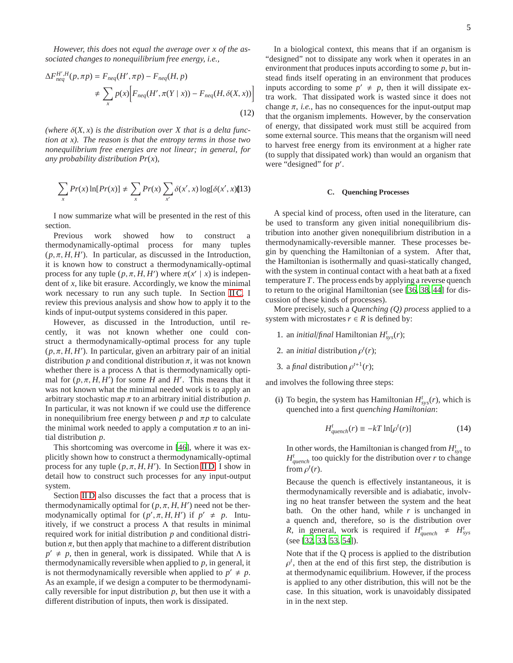*However, this does* not *equal the average over x of the associated changes to nonequilibrium free energy, i.e.,*

$$
\Delta F_{neq}^{H',H}(p,\pi p) = F_{neq}(H',\pi p) - F_{neq}(H,p)
$$
  

$$
\neq \sum_{x} p(x) \Big[ F_{neq}(H',\pi(Y \mid x)) - F_{neq}(H,\delta(X,x)) \Big]
$$
  
(12)

(where  $\delta(X, x)$  *is the distribution over* X *that is a delta function at x). The reason is that the entropy terms in those two nonequilibrium free energies are not linear; in general, for any probability distribution Pr*(*x*)*,*

$$
\sum_{x} Pr(x) \ln[Pr(x)] \neq \sum_{x} Pr(x) \sum_{x'} \delta(x', x) \log[\delta(x', x)]
$$

I now summarize what will be presented in the rest of this section.

Previous work showed how to construct a thermodynamically-optimal process for many tuples  $(p, \pi, H, H')$ . In particular, as discussed in the Introduction, it is known how to construct a thermodynamically-optimal process for any tuple  $(p, \pi, H, H')$  where  $\pi(x' | x)$  is independent of *x*, like bit erasure. Accordingly, we know the minimal work necessary to run any such tuple. In Section IIC, I review this previous analysis and show how to apply it to the kinds of input-output systems considered in this paper.

However, as discussed in the Introduction, until recently, it was not known whether one could construct a thermodynamically-optimal process for any tuple  $(p, \pi, H, H')$ . In particular, given an arbitrary pair of an initial distribution  $p$  and conditional distribution  $\pi$ , it was not known whether there is a process  $\Lambda$  that is thermodynamically optimal for  $(p, \pi, H, H')$  for some *H* and *H'*. This means that it was not known what the minimal needed work is to apply an arbitrary stochastic map  $\pi$  to an arbitrary initial distribution  $p$ . In particular, it was not known if we could use the difference in nonequilibrium free energy between  $p$  and  $\pi p$  to calculate the minimal work needed to apply a computation  $\pi$  to an initial distribution *p*.

This shortcoming was overcome in [\[46\]](#page-18-1), where it was explicitly shown how to construct a thermodynamically-optimal process for any tuple  $(p, \pi, H, H')$ . In Section [II D,](#page-6-0) I show in detail how to construct such processes for any input-output system.

Section [II D](#page-6-0) also discusses the fact that a process that is thermodynamically optimal for  $(p, \pi, H, H')$  need not be thermodynamically optimal for  $(p', \pi, H, H')$  if  $p' \neq p$ . Intuitively, if we construct a process  $\Lambda$  that results in minimal required work for initial distribution *p* and conditional distribution  $\pi$ , but then apply that machine to a different distribution  $p' \neq p$ , then in general, work is dissipated. While that  $\Lambda$  is thermodynamically reversible when applied to *p*, in general, it is not thermodynamically reversible when applied to  $p' \neq p$ . As an example, if we design a computer to be thermodynamically reversible for input distribution *p*, but then use it with a different distribution of inputs, then work is dissipated.

In a biological context, this means that if an organism is "designed" not to dissipate any work when it operates in an environment that produces inputs according to some *p*, but instead finds itself operating in an environment that produces inputs according to some  $p' \neq p$ , then it will dissipate extra work. That dissipated work is wasted since it does not change  $\pi$ , *i.e.*, has no consequences for the input-output map that the organism implements. However, by the conservation of energy, that dissipated work must still be acquired from some external source. This means that the organism will need to harvest free energy from its environment at a higher rate (to supply that dissipated work) than would an organism that were "designed" for  $p'$ .

### <span id="page-4-0"></span>**C. Quenching Processes**

A special kind of process, often used in the literature, can be used to transform any given initial nonequilibrium distribution into another given nonequilibrium distribution in a thermodynamically-reversible manner. These processes begin by quenching the Hamiltonian of a system. After that, the Hamiltonian is isothermally and quasi-statically changed, with the system in continual contact with a heat bath at a fixed temperature *T*. The process ends by applying a reverse quench to return to the original Hamiltonian (see [\[36](#page-17-10), [38,](#page-17-11) [44\]](#page-17-12) for discussion of these kinds of processes).

More precisely, such a *Quenching (Q) process* applied to a system with microstates  $r \in R$  is defined by:

- 1. an *initial*/*final* Hamiltonian  $H_{sys}^t(r)$ ;
- 2. an *initial* distribution  $\rho^t(r)$ ;
- 3. a *final* distribution  $\rho^{t+1}(r)$ ;

and involves the following three steps:

(i) To begin, the system has Hamiltonian  $H_{sys}^t(r)$ , which is quenched into a first *quenching Hamiltonian*:

$$
H_{quench}^t(r) \equiv -kT \ln[\rho^t(r)] \tag{14}
$$

In other words, the Hamiltonian is changed from  $H_{sys}^t$  to  $H_{quench}^t$  too quickly for the distribution over *r* to change from  $\rho^t(r)$ .

Because the quench is effectively instantaneous, it is thermodynamically reversible and is adiabatic, involving no heat transfer between the system and the heat bath. On the other hand, while *r* is unchanged in a quench and, therefore, so is the distribution over *R*, in general, work is required if  $H_{quench}^t \neq H_{sys}^t$ (see [\[32,](#page-17-14) [33,](#page-17-15) [53,](#page-18-7) [54\]](#page-18-8)).

Note that if the Q process is applied to the distribution  $\rho^t$ , then at the end of this first step, the distribution is at thermodynamic equilibrium. However, if the process is applied to any other distribution, this will not be the case. In this situation, work is unavoidably dissipated in in the next step.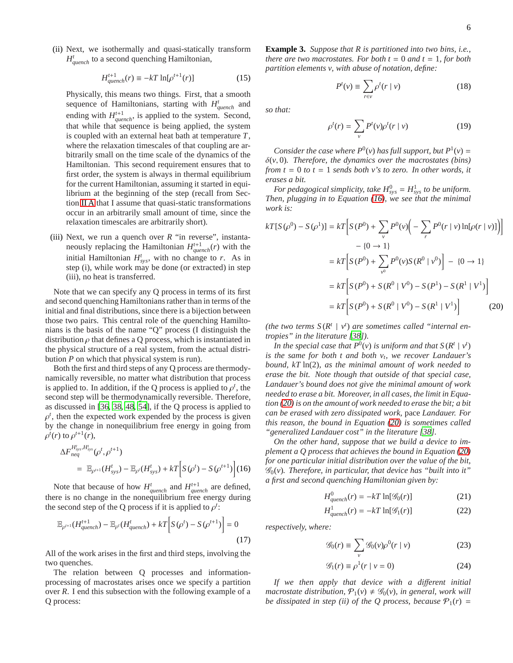(ii) Next, we isothermally and quasi-statically transform *H t quench* to a second quenching Hamiltonian,

$$
H_{quench}^{t+1}(r) \equiv -kT \ln[\rho^{t+1}(r)] \tag{15}
$$

Physically, this means two things. First, that a smooth sequence of Hamiltonians, starting with  $H_{quench}^t$  and ending with  $H_{quench}^{t+1}$ , is applied to the system. Second, that while that sequence is being applied, the system is coupled with an external heat bath at temperature *T*, where the relaxation timescales of that coupling are arbitrarily small on the time scale of the dynamics of the Hamiltonian. This second requirement ensures that to first order, the system is always in thermal equilibrium for the current Hamiltonian, assuming it started in equilibrium at the beginning of the step (recall from Section [II A](#page-2-1) that I assume that quasi-static transformations occur in an arbitrarily small amount of time, since the relaxation timescales are arbitrarily short).

(iii) Next, we run a quench over *R* "in reverse", instantaneously replacing the Hamiltonian  $H_{quench}^{t+1}(r)$  with the initial Hamiltonian  $H_{sys}^t$ , with no change to *r*. As in step (i), while work may be done (or extracted) in step (iii), no heat is transferred.

Note that we can specify any Q process in terms of its first and second quenching Hamiltonians rather than in terms of the initial and final distributions, since there is a bijection between those two pairs. This central role of the *q*uenching Hamiltonians is the basis of the name "Q" process (I distinguish the distribution  $\rho$  that defines a Q process, which is instantiated in the physical structure of a real system, from the actual distribution *P* on which that physical system is run).

Both the first and third steps of any Q process are thermodynamically reversible, no matter what distribution that process is applied to. In addition, if the Q process is applied to  $\rho^t$ , the second step will be thermodynamically reversible. Therefore, as discussed in [\[36,](#page-17-10) [38,](#page-17-11) [48,](#page-18-3) [54](#page-18-8)], if the Q process is applied to  $\rho^t$ , then the expected work expended by the process is given by the change in nonequilibrium free energy in going from  $\rho^t(r)$  to  $\rho^{t+1}(r)$ ,

<span id="page-5-1"></span>
$$
\Delta F_{neq}^{H'_{sys}, H'_{sys}}(\rho^t, \rho^{t+1})
$$
\n
$$
= \mathbb{E}_{\rho^{t+1}}(H'_{sys}) - \mathbb{E}_{\rho^{t}}(H'_{sys}) + kT \left[ S(\rho^t) - S(\rho^{t+1}) \right] (16)
$$

Note that because of how  $H_{quench}^t$  and  $H_{quench}^{t+1}$  are defined, there is no change in the nonequilibrium free energy during the second step of the Q process if it is applied to  $\rho^t$ :

$$
\mathbb{E}_{\rho^{t+1}}(H_{quench}^{t+1}) - \mathbb{E}_{\rho^{t}}(H_{quench}^{t}) + kT \Big[ S(\rho^{t}) - S(\rho^{t+1}) \Big] = 0
$$
\n(17)

All of the work arises in the first and third steps, involving the two quenches.

The relation between Q processes and informationprocessing of macrostates arises once we specify a partition over *R*. I end this subsection with the following example of a Q process:

<span id="page-5-0"></span>**Example 3.** *Suppose that R is partitioned into two bins, i.e., there are two macrostates. For both*  $t = 0$  *and*  $t = 1$ *, for both partition elements v, with abuse of notation, define:*

$$
P^{t}(v) \equiv \sum_{r \in v} \rho^{t}(r \mid v)
$$
 (18)

*so that:*

$$
\rho^t(r) = \sum_{v} P^t(v) \rho^t(r \mid v) \tag{19}
$$

*Consider the case where*  $P^0(v)$  *has full support, but*  $P^1(v)$  = δ(*v*, 0)*. Therefore, the dynamics over the macrostates (bins) from t* = 0 *to t* = 1 *sends both v's to zero. In other words, it erases a bit.*

*For pedagogical simplicity, take*  $H_{sys}^0 = H_{sys}^1$  to be uniform. *Then, plugging in to Equation [\(16\)](#page-5-1), we see that the minimal work is:*

<span id="page-5-2"></span>
$$
kT[S(\rho^0) - S(\rho^1)] = kT \Big[ S(P^0) + \sum_{v} P^0(v) \Big( - \sum_{r} P^0(r \mid v) \ln[\rho(r \mid v)] \Big) \Big]
$$
  

$$
- \{0 \to 1\}
$$
  

$$
= kT \Big[ S(P^0) + \sum_{v^0} P^0(v) S(R^0 \mid v^0) \Big] - \{0 \to 1\}
$$
  

$$
= kT \Big[ S(P^0) + S(R^0 \mid V^0) - S(P^1) - S(R^1 \mid V^1) \Big]
$$
  

$$
= kT \Big[ S(P^0) + S(R^0 \mid V^0) - S(R^1 \mid V^1) \Big]
$$
(20)

(*the two terms*  $S(R^t | v^t)$  *are sometimes called "internal entropies" in the literature [\[38\]](#page-17-11)).*

In the special case that  $P^0(v)$  is uniform and that  $S(R^t \mid v^t)$ *is the same for both t and both v<sup>t</sup> , we recover Landauer's bound, kT* ln(2)*, as the minimal amount of work needed to erase the bit. Note though that outside of that special case, Landauer's bound does not give the minimal amount of work needed to erase a bit. Moreover, in all cases, the limit in Equation [\(20\)](#page-5-2) is on the amount of work needed to erase the bit; a bit can be erased with zero dissipated work,* pace *Landauer. For this reason, the bound in Equation [\(20\)](#page-5-2) is sometimes called "generalized Landauer cost" in the literature [\[38\]](#page-17-11).*

*On the other hand, suppose that we build a device to implement a Q process that achieves the bound in Equation [\(20\)](#page-5-2) for one particular initial distribution over the value of the bit,*  $\mathscr{G}_0(v)$ . Therefore, in particular, that device has "built into it" *a first and second quenching Hamiltonian given by:*

$$
H_{quench}^{0}(r) = -kT \ln[\mathcal{G}_{0}(r)] \tag{21}
$$

$$
H_{quench}^1(r) = -kT \ln[\mathcal{G}_1(r)] \tag{22}
$$

*respectively, where:*

$$
\mathscr{G}_0(r) \equiv \sum_{\nu} \mathscr{G}_0(\nu) \rho^0(r \mid \nu) \tag{23}
$$

$$
\mathcal{G}_1(r) \equiv \rho^1(r \mid v = 0) \tag{24}
$$

*If we then apply that device with a di*ff*erent initial macrostate distribution,*  $\mathcal{P}_1(v) \neq \mathcal{G}_0(v)$ *, in general, work will be dissipated in step (ii) of the Q process, because*  $P_1(r)$  =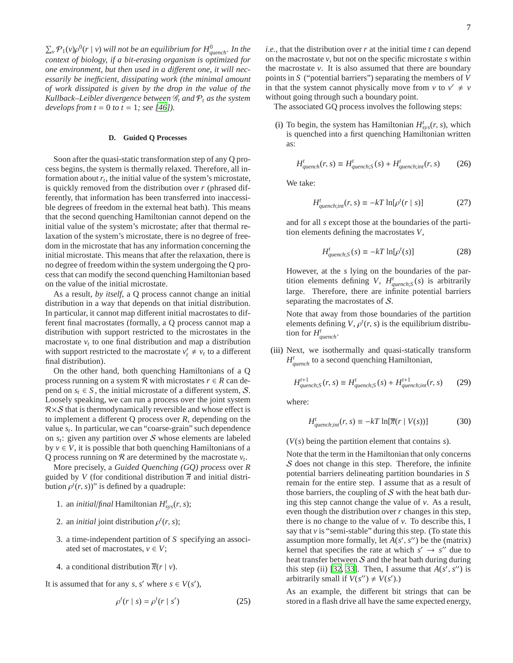$\sum_{\nu}$   $\mathcal{P}_1(\nu) \rho^0(r \mid \nu)$  will not be an equilibrium for  $H_{quench}^0$ . In the *context of biology, if a bit-erasing organism is optimized for one environment, but then used in a di*ff*erent one, it will necessarily be ine*ffi*cient, dissipating work (the minimal amount of work dissipated is given by the drop in the value of the Kullback–Leibler divergence between*  $\mathcal{G}_t$  *and*  $\mathcal{P}_t$  *as the system develops from t* = 0 *to t* = 1*; see [\[46](#page-18-1)]*).

## <span id="page-6-0"></span>**D. Guided Q Processes**

Soon after the quasi-static transformation step of any Q process begins, the system is thermally relaxed. Therefore, all information about  $r_t$ , the initial value of the system's microstate, is quickly removed from the distribution over *r* (phrased differently, that information has been transferred into inaccessible degrees of freedom in the external heat bath). This means that the second quenching Hamiltonian cannot depend on the initial value of the system's microstate; after that thermal relaxation of the system's microstate, there is no degree of freedom in the microstate that has any information concerning the initial microstate. This means that after the relaxation, there is no degree of freedom within the system undergoing the Q process that can modify the second quenching Hamiltonian based on the value of the initial microstate.

As a result, *by itself*, a Q process cannot change an initial distribution in a way that depends on that initial distribution. In particular, it cannot map different initial macrostates to different final macrostates (formally, a Q process cannot map a distribution with support restricted to the microstates in the macrostate  $v_t$  to one final distribution and map a distribution with support restricted to the macrostate  $v'_t \neq v_t$  to a different final distribution).

On the other hand, both quenching Hamiltonians of a Q process running on a system  $R$  with microstates  $r \in R$  can depend on  $s_t \in S$ , the initial microstate of a different system, S. Loosely speaking, we can run a process over the joint system  $R \times S$  that is thermodynamically reversible and whose effect is to implement a different Q process over *R*, depending on the value *s<sup>t</sup>* . In particular, we can "coarse-grain" such dependence on  $s_t$ : given any partition over  $S$  whose elements are labeled by  $v \in V$ , it is possible that both quenching Hamiltonians of a Q process running on  $\Re$  are determined by the macrostate  $v_t$ .

More precisely, a *Guided Quenching (GQ) process* over *R* guided by *V* (for conditional distribution  $\overline{\pi}$  and initial distribution  $\rho^t(r, s)$ <sup>"</sup> is defined by a quadruple:

- 1. an *initial*/*final* Hamiltonian  $H_{sys}^t(r, s)$ ;
- 2. an *initial* joint distribution  $\rho^t(r, s)$ ;
- 3. a time-independent partition of *S* specifying an associated set of macrostates,  $v \in V$ ;
- 4. a conditional distribution  $\overline{\pi}(r | v)$ .

It is assumed that for any *s*, *s*' where  $s \in V(s')$ ,

<span id="page-6-1"></span>
$$
\rho^t(r \mid s) = \rho^t(r \mid s') \tag{25}
$$

*i.e.*, that the distribution over *r* at the initial time *t* can depend on the macrostate *v*, but not on the specific microstate *s* within the macrostate  $v$ . It is also assumed that there are boundary points in *S* ("potential barriers") separating the members of *V* in that the system cannot physically move from  $v$  to  $v' \neq v$ without going through such a boundary point.

The associated GQ process involves the following steps:

(i) To begin, the system has Hamiltonian  $H_{sys}^t(r, s)$ , which is quenched into a first quenching Hamiltonian written as:

$$
H_{quench}^t(r, s) \equiv H_{quench;S}^t(s) + H_{quench;int}^t(r, s)
$$
 (26)

We take:

$$
H_{quench;int}^{t}(r,s) \equiv -kT \ln[\rho^{t}(r \mid s)] \tag{27}
$$

and for all *s* except those at the boundaries of the partition elements defining the macrostates *V*,

<span id="page-6-3"></span>
$$
H_{quench;S}^{t}(s) \equiv -kT \ln[\rho^{t}(s)] \tag{28}
$$

However, at the *s* lying on the boundaries of the partition elements defining *V*,  $H_{quench, S}^{t}(s)$  is arbitrarily large. Therefore, there are infinite potential barriers separating the macrostates of S.

Note that away from those boundaries of the partition elements defining  $V$ ,  $\rho<sup>t</sup>(r, s)$  is the equilibrium distribution for  $H_{quench}^t$ .

(iii) Next, we isothermally and quasi-statically transform  $H_{quench}^t$  to a second quenching Hamiltonian,

<span id="page-6-2"></span>
$$
H_{quench;S}^{t+1}(r,s) \equiv H_{quench;S}^{t}(s) + H_{quench;int}^{t+1}(r,s)
$$
 (29)

where:

$$
H_{quench;int}^{t}(r, s) \equiv -kT \ln[\overline{\pi}(r \mid V(s))]
$$
 (30)

(*V*(*s*) being the partition element that contains *s*).

Note that the term in the Hamiltonian that only concerns  $S$  does not change in this step. Therefore, the infinite potential barriers delineating partition boundaries in *S* remain for the entire step. I assume that as a result of those barriers, the coupling of  $S$  with the heat bath during this step cannot change the value of *v*. As a result, even though the distribution over *r* changes in this step, there is no change to the value of  $\nu$ . To describe this, I say that *v* is "semi-stable" during this step. (To state this assumption more formally, let  $A(s', s'')$  be the (matrix) kernel that specifies the rate at which  $s' \rightarrow s''$  due to heat transfer between  $S$  and the heat bath during during this step (ii) [\[32,](#page-17-14) [33](#page-17-15)]. Then, I assume that  $A(s', s'')$  is arbitrarily small if  $V(s'') \neq V(s')$ .)

As an example, the different bit strings that can be stored in a flash drive all have the same expected energy,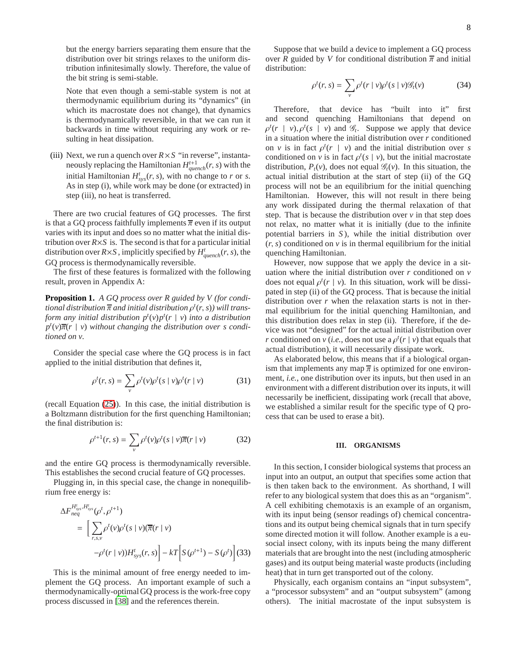but the energy barriers separating them ensure that the distribution over bit strings relaxes to the uniform distribution infinitesimally slowly. Therefore, the value of the bit string is semi-stable.

Note that even though a semi-stable system is not at thermodynamic equilibrium during its "dynamics" (in which its macrostate does not change), that dynamics is thermodynamically reversible, in that we can run it backwards in time without requiring any work or resulting in heat dissipation.

(iii) Next, we run a quench over  $R \times S$  "in reverse", instantaneously replacing the Hamiltonian  $H_{quench}^{t+1}(r, s)$  with the initial Hamiltonian  $H_{sys}^t(r, s)$ , with no change to *r* or *s*. As in step (i), while work may be done (or extracted) in step (iii), no heat is transferred.

There are two crucial features of GQ processes. The first is that a GQ process faithfully implements  $\overline{\pi}$  even if its output varies with its input and does so no matter what the initial distribution over  $R \times S$  is. The second is that for a particular initial distribution over  $R \times S$ , implicitly specified by  $H_{quench}^t(r, s)$ , the GQ process is thermodynamically reversible.

The first of these features is formalized with the following result, proven in Appendix A:

<span id="page-7-1"></span>**Proposition 1.** *A GQ process over R guided by V (for condi* $t$ ional distribution  $\overline{\pi}$  and initial distribution  $\rho^t(r,s)$ ) will trans*form any initial distribution*  $p^t(v)p^t(r | v)$  *into a distribution*  $p^t(v)$  $\overline{\pi}(r \mid v)$  *without changing the distribution over s conditioned on v.*

Consider the special case where the GQ process is in fact applied to the initial distribution that defines it,

$$
\rho^t(r,s) = \sum_{v} \rho^t(v) \rho^t(s \mid v) \rho^t(r \mid v) \tag{31}
$$

(recall Equation [\(25\)](#page-6-1)). In this case, the initial distribution is a Boltzmann distribution for the first quenching Hamiltonian; the final distribution is:

$$
\rho^{t+1}(r,s) = \sum_{v} \rho^t(v) \rho^t(s \mid v) \overline{\pi}(r \mid v) \tag{32}
$$

and the entire GQ process is thermodynamically reversible. This establishes the second crucial feature of GQ processes.

Plugging in, in this special case, the change in nonequilibrium free energy is:

<span id="page-7-2"></span>
$$
\Delta F_{neq}^{H'_{sys}, H'_{sys}}(\rho^t, \rho^{t+1})
$$
\n
$$
= \left[ \sum_{r,s,v} \rho^t(v) \rho^t(s \mid v) (\overline{\pi}(r \mid v) -\rho^t(r \mid v)) H'_{sys}(r, s) \right] - kT \left[ S(\rho^{t+1}) - S(\rho^t) \right] (33)
$$

This is the minimal amount of free energy needed to implement the GQ process. An important example of such a thermodynamically-optimal GQ process is the work-free copy process discussed in [\[38\]](#page-17-11) and the references therein.

Suppose that we build a device to implement a GQ process over *R* guided by *V* for conditional distribution  $\overline{\pi}$  and initial distribution:

$$
\rho^t(r,s) = \sum_{v} \rho^t(r \mid v) \rho^t(s \mid v) \mathcal{G}_t(v) \tag{34}
$$

Therefore, that device has "built into it" first and second quenching Hamiltonians that depend on  $\rho^t(r \mid v), \rho^t(s \mid v)$  and  $\mathscr{G}_t$ . Suppose we apply that device in a situation where the initial distribution over *r* conditioned on *v* is in fact  $\rho^t(r | v)$  and the initial distribution over *s* conditioned on *v* is in fact  $\rho^t(s | v)$ , but the initial macrostate distribution,  $P_t(v)$ , does not equal  $\mathcal{G}_t(v)$ . In this situation, the actual initial distribution at the start of step (ii) of the GQ process will not be an equilibrium for the initial quenching Hamiltonian. However, this will not result in there being any work dissipated during the thermal relaxation of that step. That is because the distribution over  $\nu$  in that step does not relax, no matter what it is initially (due to the infinite potential barriers in *S* ), while the initial distribution over  $(r, s)$  conditioned on  $v$  is in thermal equilibrium for the initial quenching Hamiltonian.

However, now suppose that we apply the device in a situation where the initial distribution over *r* conditioned on *v* does not equal  $\rho^{t}(r | v)$ . In this situation, work will be dissipated in step (ii) of the GQ process. That is because the initial distribution over *r* when the relaxation starts is not in thermal equilibrium for the initial quenching Hamiltonian, and this distribution does relax in step (ii). Therefore, if the device was not "designed" for the actual initial distribution over *r* conditioned on *v* (*i.e.*, does not use a  $\rho^{t}(r | v)$  that equals that actual distribution), it will necessarily dissipate work.

As elaborated below, this means that if a biological organism that implements any map  $\bar{\pi}$  is optimized for one environment, *i.e.*, one distribution over its inputs, but then used in an environment with a different distribution over its inputs, it will necessarily be inefficient, dissipating work (recall that above, we established a similar result for the specific type of Q process that can be used to erase a bit).

#### <span id="page-7-0"></span>**III. ORGANISMS**

In this section, I consider biological systems that process an input into an output, an output that specifies some action that is then taken back to the environment. As shorthand, I will refer to any biological system that does this as an "organism". A cell exhibiting chemotaxis is an example of an organism, with its input being (sensor readings of) chemical concentrations and its output being chemical signals that in turn specify some directed motion it will follow. Another example is a eusocial insect colony, with its inputs being the many different materials that are brought into the nest (including atmospheric gases) and its output being material waste products (including heat) that in turn get transported out of the colony.

Physically, each organism contains an "input subsystem", a "processor subsystem" and an "output subsystem" (among others). The initial macrostate of the input subsystem is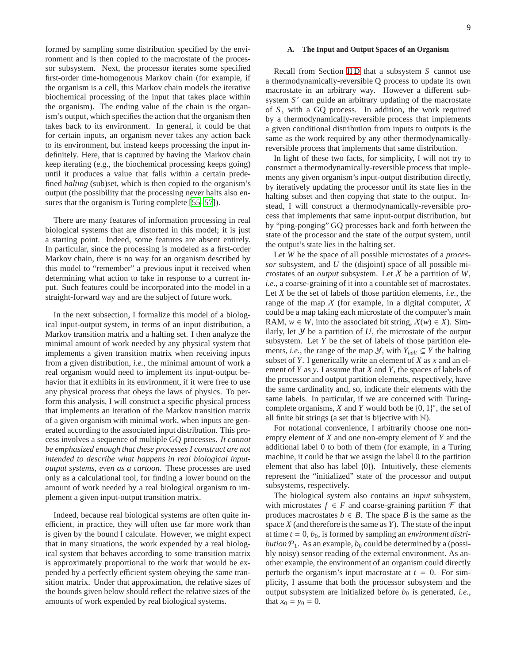formed by sampling some distribution specified by the environment and is then copied to the macrostate of the processor subsystem. Next, the processor iterates some specified first-order time-homogenous Markov chain (for example, if the organism is a cell, this Markov chain models the iterative biochemical processing of the input that takes place within the organism). The ending value of the chain is the organism's output, which specifies the action that the organism then takes back to its environment. In general, it could be that for certain inputs, an organism never takes any action back to its environment, but instead keeps processing the input indefinitely. Here, that is captured by having the Markov chain keep iterating (e.g., the biochemical processing keeps going) until it produces a value that falls within a certain predefined *halting* (sub)set, which is then copied to the organism's output (the possibility that the processing never halts also en-sures that the organism is Turing complete [\[55](#page-18-9)[–57\]](#page-18-10)).

There are many features of information processing in real biological systems that are distorted in this model; it is just a starting point. Indeed, some features are absent entirely. In particular, since the processing is modeled as a first-order Markov chain, there is no way for an organism described by this model to "remember" a previous input it received when determining what action to take in response to a current input. Such features could be incorporated into the model in a straight-forward way and are the subject of future work.

In the next subsection, I formalize this model of a biological input-output system, in terms of an input distribution, a Markov transition matrix and a halting set. I then analyze the minimal amount of work needed by any physical system that implements a given transition matrix when receiving inputs from a given distribution, *i.e.*, the minimal amount of work a real organism would need to implement its input-output behavior that it exhibits in its environment, if it were free to use any physical process that obeys the laws of physics. To perform this analysis, I will construct a specific physical process that implements an iteration of the Markov transition matrix of a given organism with minimal work, when inputs are generated according to the associated input distribution. This process involves a sequence of multiple GQ processes. *It cannot be emphasized enough that these processes I construct are not intended to describe what happens in real biological inputoutput systems, even as a cartoon*. These processes are used only as a calculational tool, for finding a lower bound on the amount of work needed by a real biological organism to implement a given input-output transition matrix.

Indeed, because real biological systems are often quite inefficient, in practice, they will often use far more work than is given by the bound I calculate. However, we might expect that in many situations, the work expended by a real biological system that behaves according to some transition matrix is approximately proportional to the work that would be expended by a perfectly efficient system obeying the same transition matrix. Under that approximation, the relative sizes of the bounds given below should reflect the relative sizes of the amounts of work expended by real biological systems.

### **A. The Input and Output Spaces of an Organism**

Recall from Section [II D](#page-6-0) that a subsystem *S* cannot use a thermodynamically-reversible Q process to update its own macrostate in an arbitrary way. However a different subsystem S' can guide an arbitrary updating of the macrostate of *S* , with a GQ process. In addition, the work required by a thermodynamically-reversible process that implements a given conditional distribution from inputs to outputs is the same as the work required by any other thermodynamicallyreversible process that implements that same distribution.

In light of these two facts, for simplicity, I will not try to construct a thermodynamically-reversible process that implements any given organism's input-output distribution directly, by iteratively updating the processor until its state lies in the halting subset and then copying that state to the output. Instead, I will construct a thermodynamically-reversible process that implements that same input-output distribution, but by "ping-ponging" GQ processes back and forth between the state of the processor and the state of the output system, until the output's state lies in the halting set.

Let *W* be the space of all possible microstates of a *processor* subsystem, and *U* the (disjoint) space of all possible microstates of an *output* subsystem. Let X be a partition of *W*, *i.e.*, a coarse-graining of it into a countable set of macrostates. Let *X* be the set of labels of those partition elements, *i.e.*, the range of the map  $\chi$  (for example, in a digital computer,  $\chi$ could be a map taking each microstate of the computer's main RAM,  $w ∈ W$ , into the associated bit string,  $X(w) ∈ X$ ). Similarly, let  $\mathcal Y$  be a partition of  $U$ , the microstate of the output subsystem. Let *Y* be the set of labels of those partition elements, *i.e.*, the range of the map  $\mathcal{Y}$ , with  $Y_{halt} \subseteq Y$  the halting subset of *Y*. I generically write an element of *X* as *x* and an element of *Y* as *y*. I assume that *X* and *Y*, the spaces of labels of the processor and output partition elements, respectively, have the same cardinality and, so, indicate their elements with the same labels. In particular, if we are concerned with Turingcomplete organisms,  $X$  and  $Y$  would both be  $\{0, 1\}^*$ , the set of all finite bit strings (a set that is bijective with N).

For notational convenience, I arbitrarily choose one nonempty element of *X* and one non-empty element of *Y* and the additional label 0 to both of them (for example, in a Turing machine, it could be that we assign the label 0 to the partition element that also has label {0}). Intuitively, these elements represent the "initialized" state of the processor and output subsystems, respectively.

The biological system also contains an *input* subsystem, with microstates  $f \in F$  and coarse-graining partition  $\mathcal F$  that produces macrostates  $b \in B$ . The space *B* is the same as the space *X* (and therefore is the same as *Y*). The state of the input at time *t* = 0, *b*0, is formed by sampling an *environment distribution*  $P_1$ . As an example,  $b_0$  could be determined by a (possibly noisy) sensor reading of the external environment. As another example, the environment of an organism could directly perturb the organism's input macrostate at  $t = 0$ . For simplicity, I assume that both the processor subsystem and the output subsystem are initialized before  $b_0$  is generated, *i.e.*, that  $x_0 = y_0 = 0$ .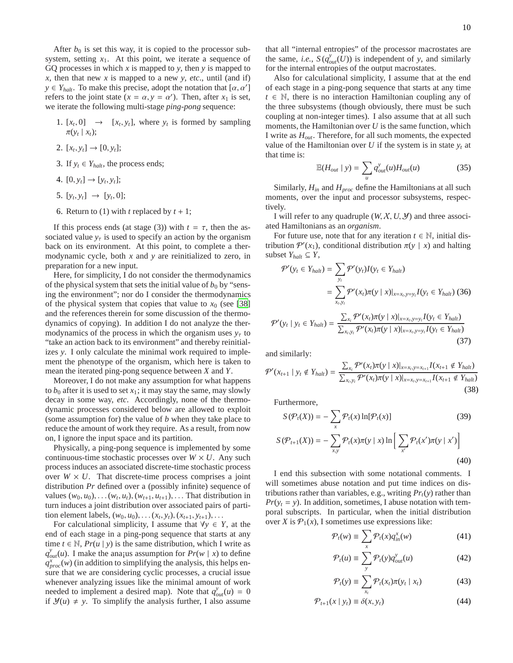After  $b_0$  is set this way, it is copied to the processor subsystem, setting  $x_1$ . At this point, we iterate a sequence of GQ processes in which  $x$  is mapped to  $y$ , then  $y$  is mapped to *x*, then that new *x* is mapped to a new *y*, *etc*., until (and if)  $y \in Y_{halt}$ . To make this precise, adopt the notation that  $[\alpha, \alpha']$ refers to the joint state  $(x = \alpha, y = \alpha')$ . Then, after  $x_1$  is set, we iterate the following multi-stage *ping-pong* sequence:

- 1.  $[x_t, 0] \rightarrow [x_t, y_t]$ , where  $y_t$  is formed by sampling  $\pi(y_t | x_t);$
- 2.  $[x_t, y_t] \to [0, y_t];$
- 3. If  $y_t \in Y_{halt}$ , the process ends;
- 4.  $[0, y_t] \to [y_t, y_t];$
- 5.  $[y_t, y_t] \rightarrow [y_t, 0];$
- 6. Return to (1) with *t* replaced by  $t + 1$ ;

If this process ends (at stage (3)) with  $t = \tau$ , then the associated value  $y<sub>\tau</sub>$  is used to specify an action by the organism back on its environment. At this point, to complete a thermodynamic cycle, both *x* and *y* are reinitialized to zero, in preparation for a new input.

Here, for simplicity, I do not consider the thermodynamics of the physical system that sets the initial value of  $b_0$  by "sensing the environment"; nor do I consider the thermodynamics of the physical system that copies that value to  $x_0$  (see [\[38\]](#page-17-11) and the references therein for some discussion of the thermodynamics of copying). In addition I do not analyze the thermodynamics of the process in which the organism uses  $y<sub>\tau</sub>$  to "take an action back to its environment" and thereby reinitializes *y*. I only calculate the minimal work required to implement the phenotype of the organism, which here is taken to mean the iterated ping-pong sequence between *X* and *Y*.

Moreover, I do not make any assumption for what happens to  $b_0$  after it is used to set  $x_1$ ; it may stay the same, may slowly decay in some way, *etc*. Accordingly, none of the thermodynamic processes considered below are allowed to exploit (some assumption for) the value of *b* when they take place to reduce the amount of work they require. As a result, from now on, I ignore the input space and its partition.

Physically, a ping-pong sequence is implemented by some continuous-time stochastic processes over  $W \times U$ . Any such process induces an associated discrete-time stochastic process over  $W \times U$ . That discrete-time process comprises a joint distribution *Pr* defined over a (possibly infinite) sequence of values  $(w_0, u_0)$ , ...  $(w_t, u_t)$ ,  $(w_{t+1}, u_{t+1})$ , ... That distribution in turn induces a joint distribution over associated pairs of partition element labels,  $(w_0, u_0), \ldots (x_t, y_t), (x_{t+1}, y_{t+1}), \ldots$ 

For calculational simplicity, I assume that  $\forall y \in Y$ , at the end of each stage in a ping-pong sequence that starts at any time  $t \in \mathbb{N}$ ,  $Pr(u | y)$  is the same distribution, which I write as  $q_{out}^y(u)$ . I make the ana<sub>i</sub>us assumption for  $Pr(w | x)$  to define  $q_{proc}^{x}(w)$  (in addition to simplifying the analysis, this helps ensure that we are considering cyclic processes, a crucial issue whenever analyzing issues like the minimal amount of work needed to implement a desired map). Note that  $q_{out}^{y}(u) = 0$ if  $\mathcal{Y}(u) \neq y$ . To simplify the analysis further, I also assume that all "internal entropies" of the processor macrostates are the same, *i.e.*,  $S(q_{out}^y(\tilde{U}))$  is independent of *y*, and similarly for the internal entropies of the output macrostates.

Also for calculational simplicity, I assume that at the end of each stage in a ping-pong sequence that starts at any time *t* ∈ N, there is no interaction Hamiltonian coupling any of the three subsystems (though obviously, there must be such coupling at non-integer times). I also assume that at all such moments, the Hamiltonian over *U* is the same function, which I write as *Hout*. Therefore, for all such moments, the expected value of the Hamiltonian over *U* if the system is in state  $y_t$  at that time is:

<span id="page-9-0"></span>
$$
\mathbb{E}(H_{out} \mid y) = \sum_{u} q_{out}^{y}(u) H_{out}(u)
$$
 (35)

Similarly, *Hin* and *Hproc* define the Hamiltonians at all such moments, over the input and processor subsystems, respectively.

I will refer to any quadruple  $(W, X, U, Y)$  and three associated Hamiltonians as an *organism*.

For future use, note that for any iteration  $t \in \mathbb{N}$ , initial distribution  $\mathcal{P}'(x_1)$ , conditional distribution  $\pi(y \mid x)$  and halting subset  $Y_{halt} \subseteq Y$ ,

$$
\mathcal{P}'(y_t \in Y_{halt}) = \sum_{y_t} \mathcal{P}'(y_t) I(y_t \in Y_{halt})
$$
  
= 
$$
\sum_{x_t, y_t} \mathcal{P}'(x_t) \pi(y | x)|_{x = x_t, y = y_t} I(y_t \in Y_{halt})
$$
 (36)  

$$
\mathcal{P}'(y_t | y_t \in Y_{halt}) = \frac{\sum_{x_t} \mathcal{P}'(x_t) \pi(y | x)|_{x = x_t, y = y_t} I(y_t \in Y_{halt})}{\sum_{x_t, y_t \in Y_{halt}}}.
$$

$$
\mathcal{P}'(y_t \mid y_t \in Y_{halt}) = \frac{\sum_{x_t} \mathcal{F}(\{x_t\} \mathcal{M}(y \mid x) | x = x_t, y = y_t I \mid y_t \in I_{halt})}{\sum_{x_t, y_t} \mathcal{P}'(x_t) \pi(y \mid x) | x = x_t, y = y_t I \mid (y_t \in Y_{halt})}
$$
\n(37)

and similarly:

$$
\mathcal{P}'(x_{t+1} \mid y_t \notin Y_{halt}) = \frac{\sum_{x_t} \mathcal{P}'(x_t) \pi(y \mid x)|_{x=x_t, y=x_{t+1}} I(x_{t+1} \notin Y_{halt})}{\sum_{x_t, y_t} \mathcal{P}'(x_t) \pi(y \mid x)|_{x=x_t, y=x_{t+1}} I(x_{t+1} \notin Y_{halt})}
$$
(38)

Furthermore,

$$
S(\mathcal{P}_t(X)) = -\sum_{x} \mathcal{P}_t(x) \ln[\mathcal{P}_t(x)] \qquad (39)
$$

$$
S(\mathcal{P}_{t+1}(X)) = -\sum_{x,y} \mathcal{P}_t(x)\pi(y \mid x) \ln\left[\sum_{x'} \mathcal{P}_t(x')\pi(y \mid x')\right]
$$
(40)

I end this subsection with some notational comments. I will sometimes abuse notation and put time indices on distributions rather than variables, e.g., writing  $Pr<sub>t</sub>(y)$  rather than  $Pr(y_t = y)$ . In addition, sometimes, I abuse notation with temporal subscripts. In particular, when the initial distribution over *X* is  $P_1(x)$ , I sometimes use expressions like:

$$
\mathcal{P}_t(w) \equiv \sum_x \mathcal{P}_t(x) q_{in}^x(w) \tag{41}
$$

$$
\mathcal{P}_t(u) \equiv \sum_{y} \mathcal{P}_t(y) q_{out}^y(u) \tag{42}
$$

$$
\mathcal{P}_t(y) \equiv \sum_{x_t} \mathcal{P}_t(x_t) \pi(y_t \mid x_t)
$$
\n(43)

$$
\mathcal{P}_{t+1}(x \mid y_t) \equiv \delta(x, y_t) \tag{44}
$$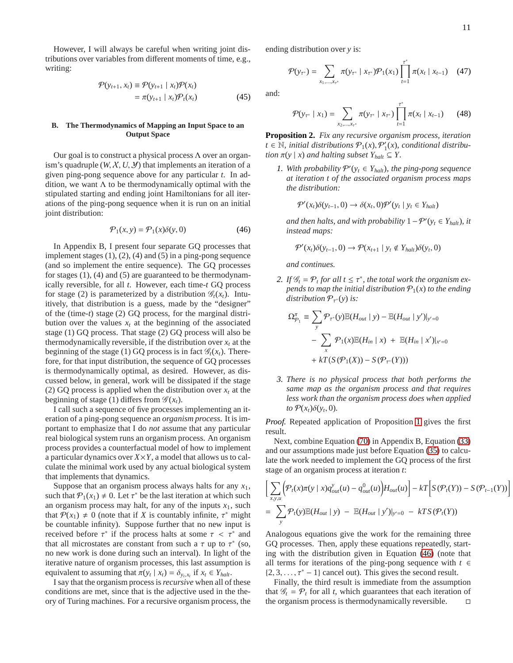However, I will always be careful when writing joint distributions over variables from different moments of time, e.g., writing:

$$
\mathcal{P}(y_{t+1}, x_t) \equiv \mathcal{P}(y_{t+1} | x_t) \mathcal{P}(x_t)
$$
  
=  $\pi(y_{t+1} | x_t) \mathcal{P}_t(x_t)$  (45)

### <span id="page-10-2"></span>**B. The Thermodynamics of Mapping an Input Space to an Output Space**

Our goal is to construct a physical process  $\Lambda$  over an organism's quadruple  $(W, X, U, Y)$  that implements an iteration of a given ping-pong sequence above for any particular *t*. In addition, we want  $\Lambda$  to be thermodynamically optimal with the stipulated starting and ending joint Hamiltonians for all iterations of the ping-pong sequence when it is run on an initial joint distribution:

<span id="page-10-0"></span>
$$
\mathcal{P}_1(x, y) = \mathcal{P}_1(x)\delta(y, 0) \tag{46}
$$

In Appendix B, I present four separate GQ processes that implement stages  $(1)$ ,  $(2)$ ,  $(4)$  and  $(5)$  in a ping-pong sequence (and so implement the entire sequence). The GQ processes for stages (1), (4) and (5) are guaranteed to be thermodynamically reversible, for all *t*. However, each time-*t* GQ process for stage (2) is parameterized by a distribution  $\mathcal{G}_t(x_t)$ . Intuitively, that distribution is a guess, made by the "designer" of the (time-*t*) stage (2) GQ process, for the marginal distribution over the values  $x_t$  at the beginning of the associated stage (1) GQ process. That stage (2) GQ process will also be thermodynamically reversible, if the distribution over  $x_t$  at the beginning of the stage (1) GQ process is in fact  $\mathscr{G}_t(x_t)$ . Therefore, for that input distribution, the sequence of GQ processes is thermodynamically optimal, as desired. However, as discussed below, in general, work will be dissipated if the stage (2) GQ process is applied when the distribution over  $x_t$  at the beginning of stage (1) differs from  $\mathscr{G}(x_t)$ .

I call such a sequence of five processes implementing an iteration of a ping-pong sequence an *organism process*. It is important to emphasize that I do *not* assume that any particular real biological system runs an organism process. An organism process provides a counterfactual model of how to implement a particular dynamics over  $X \times Y$ , a model that allows us to calculate the minimal work used by any actual biological system that implements that dynamics.

Suppose that an organism process always halts for any *x*1, such that  $\mathcal{P}_1(x_1) \neq 0$ . Let  $\tau^*$  be the last iteration at which such an organism process may halt, for any of the inputs  $x_1$ , such that  $P(x_1) \neq 0$  (note that if *X* is countably infinite,  $\tau^*$  might be countable infinity). Suppose further that no new input is received before  $\tau^*$  if the process halts at some  $\tau < \tau^*$  and that all microstates are constant from such a  $\tau$  up to  $\tau^*$  (so, no new work is done during such an interval). In light of the iterative nature of organism processes, this last assumption is equivalent to assuming that  $\pi(y_t | x_t) = \delta_{y_t, x_t}$  if  $x_t \in Y_{halt}$ .

I say that the organism process is *recursive* when all of these conditions are met, since that is the adjective used in the theory of Turing machines. For a recursive organism process, the ending distribution over *y* is:

$$
\mathcal{P}(y_{\tau^*}) = \sum_{x_1,\dots,x_{\tau^*}} \pi(y_{\tau^*} \mid x_{\tau^*}) \mathcal{P}_1(x_1) \prod_{t=1}^{\tau^*} \pi(x_t \mid x_{t-1}) \quad (47)
$$

and:

<span id="page-10-3"></span>
$$
\mathcal{P}(y_{\tau^*} \mid x_1) = \sum_{x_2, \dots, x_{\tau^*}} \pi(y_{\tau^*} \mid x_{\tau^*}) \prod_{t=1}^{\tau^*} \pi(x_t \mid x_{t-1}) \qquad (48)
$$

<span id="page-10-1"></span>**Proposition 2.** *Fix any recursive organism process, iteration t* ∈  $\mathbb{\bar{N}}$ *, initial distributions*  $\mathcal{P}_1(x), \mathcal{P}'_1(x)$ *, conditional distribution*  $\pi(y | x)$  *and halting subset*  $Y_{halt} \subseteq Y$ .

*1.* With probability  $P'(y_t \in Y_{halt})$ , the ping-pong sequence *at iteration t of the associated organism process maps the distribution:*

$$
\mathcal{P}'(x_t)\delta(y_{t-1},0) \to \delta(x_t,0)\mathcal{P}'(y_t \mid y_t \in Y_{halt})
$$

*and then halts, and with probability*  $1 - P'(y_t ∈ Y_{halt})$ *, it instead maps:*

$$
\mathcal{P}'(x_t)\delta(y_{t-1},0) \to \mathcal{P}(x_{t+1} \mid y_t \notin Y_{halt})\delta(y_t,0)
$$

*and continues.*

2. If  $\mathcal{G}_t = \mathcal{P}_t$  for all  $t \leq \tau^*$ , the total work the organism ex*pends to map the initial distribution*  $P_1(x)$  *to the ending*  $distribution P_{\tau^*}(y)$  *is:* 

$$
\Omega_{\mathcal{P}_1}^{\pi} \equiv \sum_{y} \mathcal{P}_{\tau^*}(y) \mathbb{E}(H_{out} | y) - \mathbb{E}(H_{out} | y')|_{y'=0}
$$

$$
- \sum_{x} \mathcal{P}_1(x) \mathbb{E}(H_{in} | x) + \mathbb{E}(H_{in} | x')|_{x'=0}
$$

$$
+ kT(S(\mathcal{P}_1(X)) - S(\mathcal{P}_{\tau^*}(Y)))
$$

*3. There is no physical process that both performs the same map as the organism process and that requires less work than the organism process does when applied to*  $\mathcal{P}(x_t)\delta(y_t, 0)$ *.* 

*Proof.* Repeated application of Proposition [1](#page-7-1) gives the first result.

Next, combine Equation [\(70\)](#page-16-0) in Appendix B, Equation [\(33\)](#page-7-2) and our assumptions made just before Equation [\(35\)](#page-9-0) to calculate the work needed to implement the GQ process of the first stage of an organism process at iteration *t*:

$$
\left[ \sum_{x,y,u} \left( \mathcal{P}_t(x) \pi(y \mid x) q_{out}^y(u) - q_{out}^0(u) \right) H_{out}(u) \right] - kT \left[ S(\mathcal{P}_t(Y)) - S(\mathcal{P}_{t-1}(Y)) \right]
$$
  
= 
$$
\sum_{y} \mathcal{P}_t(y) \mathbb{E}(H_{out} \mid y) - \mathbb{E}(H_{out} \mid y')|_{y'=0} - kTS(\mathcal{P}_t(Y))
$$

Analogous equations give the work for the remaining three GQ processes. Then, apply these equations repeatedly, starting with the distribution given in Equation [\(46\)](#page-10-0) (note that all terms for iterations of the ping-pong sequence with  $t \in$  $\{2, 3, \ldots, \tau^* - 1\}$  cancel out). This gives the second result.

Finally, the third result is immediate from the assumption that  $\mathcal{G}_t = \mathcal{P}_t$  for all *t*, which guarantees that each iteration of the organism process is thermodynamically reversible.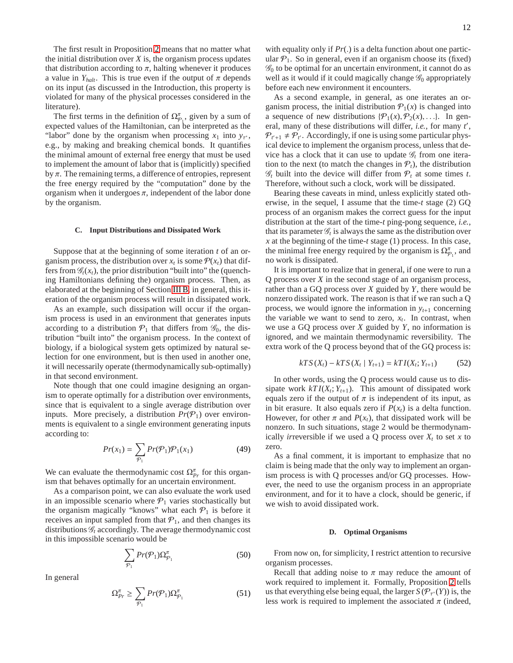The first result in Proposition [2](#page-10-1) means that no matter what the initial distribution over  $X$  is, the organism process updates that distribution according to  $\pi$ , halting whenever it produces a value in  $Y_{halt}$ . This is true even if the output of  $\pi$  depends on its input (as discussed in the Introduction, this property is violated for many of the physical processes considered in the literature).

The first terms in the definition of  $\Omega_{\mathcal{P}_1}^{\pi}$ , given by a sum of expected values of the Hamiltonian, can be interpreted as the "labor" done by the organism when processing  $x_1$  into  $y_{\tau^*}$ , e.g., by making and breaking chemical bonds. It quantifies the minimal amount of external free energy that must be used to implement the amount of labor that is (implicitly) specified by  $\pi$ . The remaining terms, a difference of entropies, represent the free energy required by the "computation" done by the organism when it undergoes  $\pi$ , independent of the labor done by the organism.

### <span id="page-11-1"></span>**C. Input Distributions and Dissipated Work**

Suppose that at the beginning of some iteration *t* of an organism process, the distribution over  $x_t$  is some  $\mathcal{P}(x_t)$  that differs from  $\mathcal{G}_t(x_t)$ , the prior distribution "built into" the (quenching Hamiltonians defining the) organism process. Then, as elaborated at the beginning of Section [III B,](#page-10-2) in general, this iteration of the organism process will result in dissipated work.

As an example, such dissipation will occur if the organism process is used in an environment that generates inputs according to a distribution  $P_1$  that differs from  $\mathcal{G}_0$ , the distribution "built into" the organism process. In the context of biology, if a biological system gets optimized by natural selection for one environment, but is then used in another one, it will necessarily operate (thermodynamically sub-optimally) in that second environment.

Note though that one could imagine designing an organism to operate optimally for a distribution over environments, since that is equivalent to a single average distribution over inputs. More precisely, a distribution  $Pr(\mathcal{P}_1)$  over environments is equivalent to a single environment generating inputs according to:

<span id="page-11-0"></span>
$$
Pr(x_1) = \sum_{\mathcal{P}_1} Pr(\mathcal{P}_1)\mathcal{P}_1(x_1)
$$
 (49)

We can evaluate the thermodynamic cost  $\Omega_{p_r}^{\pi}$  for this organism that behaves optimally for an uncertain environment.

As a comparison point, we can also evaluate the work used in an impossible scenario where  $P_1$  varies stochastically but the organism magically "knows" what each  $P_1$  is before it receives an input sampled from that  $P_1$ , and then changes its distributions  $\mathcal{G}_t$  accordingly. The average thermodynamic cost in this impossible scenario would be

$$
\sum_{\mathcal{P}_1} Pr(\mathcal{P}_1) \Omega_{\mathcal{P}_1}^{\pi} \tag{50}
$$

In general

$$
\Omega_{Pr}^{\pi} \ge \sum_{\mathcal{P}_1} Pr(\mathcal{P}_1)\Omega_{\mathcal{P}_1}^{\pi} \tag{51}
$$

with equality only if  $Pr(.)$  is a delta function about one particular  $P_1$ . So in general, even if an organism choose its (fixed)  $\mathscr{G}_0$  to be optimal for an uncertain environment, it cannot do as well as it would if it could magically change  $\mathscr{G}_0$  appropriately before each new environment it encounters.

As a second example, in general, as one iterates an organism process, the initial distribution  $\mathcal{P}_1(x)$  is changed into a sequence of new distributions  $\{\mathcal{P}_1(x), \mathcal{P}_2(x), \ldots\}$ . In general, many of these distributions will differ, *i.e.*, for many *t'*,  $P_{t'+1} \neq P_{t'}$ . Accordingly, if one is using some particular physical device to implement the organism process, unless that device has a clock that it can use to update  $\mathcal{G}_t$  from one iteration to the next (to match the changes in  $P_t$ ), the distribution  $\mathscr{G}_t$  built into the device will differ from  $\mathscr{P}_t$  at some times *t*. Therefore, without such a clock, work will be dissipated.

Bearing these caveats in mind, unless explicitly stated otherwise, in the sequel, I assume that the time-*t* stage (2) GQ process of an organism makes the correct guess for the input distribution at the start of the time-*t* ping-pong sequence, *i.e.*, that its parameter  $\mathcal{G}_t$  is always the same as the distribution over *x* at the beginning of the time-*t* stage (1) process. In this case, the minimal free energy required by the organism is  $\Omega_{\mathcal{P}_1}^{\pi}$ , and no work is dissipated.

It is important to realize that in general, if one were to run a Q process over *X* in the second stage of an organism process, rather than a GQ process over *X* guided by *Y*, there would be nonzero dissipated work. The reason is that if we ran such a Q process, we would ignore the information in  $y_{t+1}$  concerning the variable we want to send to zero,  $x_t$ . In contrast, when we use a GQ process over *X* guided by *Y*, no information is ignored, and we maintain thermodynamic reversibility. The extra work of the Q process beyond that of the GQ process is:

$$
kTS(X_t) - kTS(X_t | Y_{t+1}) = kTI(X_t; Y_{t+1})
$$
 (52)

In other words, using the Q process would cause us to dissipate work  $kTI(X_t; Y_{t+1})$ . This amount of dissipated work equals zero if the output of  $\pi$  is independent of its input, as in bit erasure. It also equals zero if  $P(x_t)$  is a delta function. However, for other  $\pi$  and  $P(x_t)$ , that dissipated work will be nonzero. In such situations, stage 2 would be thermodynamically *irreversible* if we used a Q process over  $X_t$  to set x to zero.

As a final comment, it is important to emphasize that no claim is being made that the only way to implement an organism process is with Q processes and/or GQ processes. However, the need to use the organism process in an appropriate environment, and for it to have a clock, should be generic, if we wish to avoid dissipated work.

### **D. Optimal Organisms**

From now on, for simplicity, I restrict attention to recursive organism processes.

Recall that adding noise to  $\pi$  may reduce the amount of work required to implement it. Formally, Proposition [2](#page-10-1) tells us that everything else being equal, the larger  $S(\mathcal{P}_{\tau^*}(Y))$  is, the less work is required to implement the associated  $\pi$  (indeed,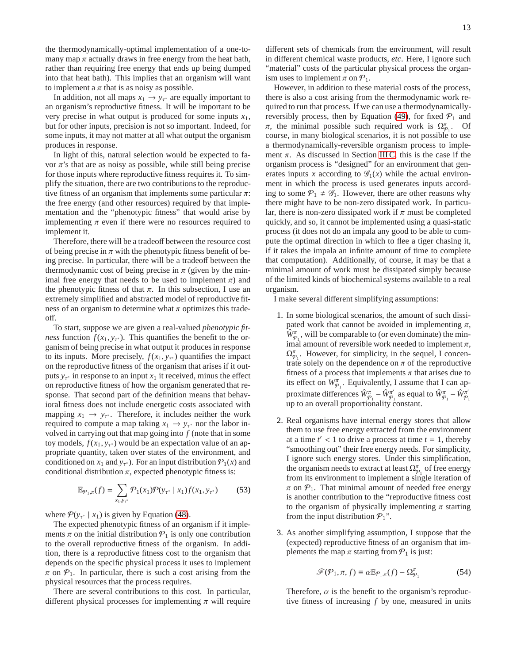the thermodynamically-optimal implementation of a one-tomany map  $\pi$  actually draws in free energy from the heat bath, rather than requiring free energy that ends up being dumped into that heat bath). This implies that an organism will want to implement a  $\pi$  that is as noisy as possible.

In addition, not all maps  $x_1 \rightarrow y_{\tau^*}$  are equally important to an organism's reproductive fitness. It will be important to be very precise in what output is produced for some inputs *x*1, but for other inputs, precision is not so important. Indeed, for some inputs, it may not matter at all what output the organism produces in response.

In light of this, natural selection would be expected to favor π's that are as noisy as possible, while still being precise for those inputs where reproductive fitness requires it. To simplify the situation, there are two contributions to the reproductive fitness of an organism that implements some particular  $\pi$ : the free energy (and other resources) required by that implementation and the "phenotypic fitness" that would arise by implementing  $\pi$  even if there were no resources required to implement it.

Therefore, there will be a tradeoff between the resource cost of being precise in  $\pi$  with the phenotypic fitness benefit of being precise. In particular, there will be a tradeoff between the thermodynamic cost of being precise in  $\pi$  (given by the minimal free energy that needs to be used to implement  $\pi$ ) and the phenotypic fitness of that  $\pi$ . In this subsection, I use an extremely simplified and abstracted model of reproductive fitness of an organism to determine what  $\pi$  optimizes this tradeoff.

To start, suppose we are given a real-valued *phenotypic fitness* function  $f(x_1, y_{\tau^*})$ . This quantifies the benefit to the organism of being precise in what output it produces in response to its inputs. More precisely,  $f(x_1, y_{\tau^*})$  quantifies the impact on the reproductive fitness of the organism that arises if it outputs  $y_{\tau^*}$  in response to an input  $x_1$  it received, minus the effect on reproductive fitness of how the organism generated that response. That second part of the definition means that behavioral fitness does not include energetic costs associated with mapping  $x_1 \rightarrow y_{\tau^*}$ . Therefore, it includes neither the work required to compute a map taking  $x_1 \rightarrow y_{\tau^*}$  nor the labor involved in carrying out that map going into *f* (note that in some toy models,  $f(x_1, y_{\tau^*})$  would be an expectation value of an appropriate quantity, taken over states of the environment, and conditioned on  $x_1$  and  $y_{\tau^*}$ ). For an input distribution  $\mathcal{P}_1(x)$  and conditional distribution  $\pi$ , expected phenotypic fitness is:

$$
\mathbb{E}_{\mathcal{P}_1,\pi}(f) = \sum_{x_1, y_{\tau^*}} \mathcal{P}_1(x_1) \mathcal{P}(y_{\tau^*} | x_1) f(x_1, y_{\tau^*})
$$
(53)

where  $P(y_{\tau^*} | x_1)$  is given by Equation [\(48\)](#page-10-3).

The expected phenotypic fitness of an organism if it implements  $\pi$  on the initial distribution  $P_1$  is only one contribution to the overall reproductive fitness of the organism. In addition, there is a reproductive fitness cost to the organism that depends on the specific physical process it uses to implement  $\pi$  on  $\mathcal{P}_1$ . In particular, there is such a cost arising from the physical resources that the process requires.

There are several contributions to this cost. In particular, different physical processes for implementing  $\pi$  will require different sets of chemicals from the environment, will result in different chemical waste products, *etc*. Here, I ignore such "material" costs of the particular physical process the organism uses to implement  $\pi$  on  $\mathcal{P}_1$ .

However, in addition to these material costs of the process, there is also a cost arising from the thermodynamic work required to run that process. If we can use a thermodynamically-reversibly process, then by Equation [\(49\)](#page-11-0), for fixed  $P_1$  and π, the minimal possible such required work is  $\Omega_{\mathcal{P}_1}^{\pi}$ . Of course, in many biological scenarios, it is not possible to use a thermodynamically-reversible organism process to implement  $\pi$ . As discussed in Section [III C,](#page-11-1) this is the case if the organism process is "designed" for an environment that generates inputs *x* according to  $\mathscr{G}_1(x)$  while the actual environment in which the process is used generates inputs according to some  $P_1 \neq \mathcal{G}_1$ . However, there are other reasons why there might have to be non-zero dissipated work. In particular, there is non-zero dissipated work if  $\pi$  must be completed quickly, and so, it cannot be implemented using a quasi-static process (it does not do an impala any good to be able to compute the optimal direction in which to flee a tiger chasing it, if it takes the impala an infinite amount of time to complete that computation). Additionally, of course, it may be that a minimal amount of work must be dissipated simply because of the limited kinds of biochemical systems available to a real organism.

I make several different simplifying assumptions:

- 1. In some biological scenarios, the amount of such dissipated work that cannot be avoided in implementing  $\pi$ ,  $\hat{W}_{\mathcal{P}_1}^{\pi}$ , will be comparable to (or even dominate) the minimal amount of reversible work needed to implement  $\pi$ ,  $\Omega_{\varphi_1}^{\pi}$ . However, for simplicity, in the sequel, I concentrate solely on the dependence on  $\pi$  of the reproductive fitness of a process that implements  $\pi$  that arises due to its effect on  $W_{\varphi_1}^{\pi}$ . Equivalently, I assume that I can approximate differences  $\hat{W}^{\pi}_{\mathcal{P}_1} - \hat{W}^{\pi'}_{\mathcal{P}_1}$  as equal to  $\hat{W}^{\pi}_{\mathcal{P}_1} - \hat{W}^{\pi'}_{\mathcal{P}_1}$ up to an overall proportionality constant.
- 2. Real organisms have internal energy stores that allow them to use free energy extracted from the environment at a time  $t' < 1$  to drive a process at time  $t = 1$ , thereby "smoothing out" their free energy needs. For simplicity, I ignore such energy stores. Under this simplification, the organism needs to extract at least  $\Omega_{\varphi_1}^{\pi}$  of free energy from its environment to implement a single iteration of  $\pi$  on  $\mathcal{P}_1$ . That minimal amount of needed free energy is another contribution to the "reproductive fitness cost to the organism of physically implementing  $\pi$  starting from the input distribution  $P_1$ ".
- 3. As another simplifying assumption, I suppose that the (expected) reproductive fitness of an organism that implements the map  $\pi$  starting from  $\mathcal{P}_1$  is just:

$$
\mathcal{F}(\mathcal{P}_1, \pi, f) \equiv \alpha \mathbb{E}_{\mathcal{P}_1, \pi}(f) - \Omega_{\mathcal{P}_1}^{\pi}
$$
 (54)

Therefore,  $\alpha$  is the benefit to the organism's reproductive fitness of increasing *f* by one, measured in units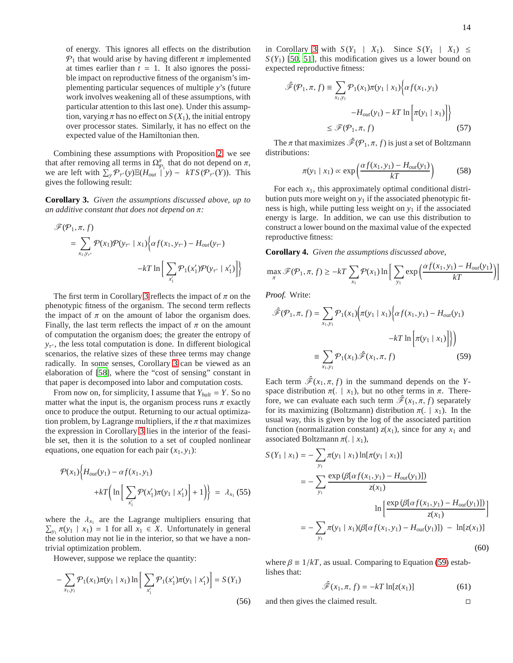of energy. This ignores all effects on the distribution  $P_1$  that would arise by having different  $\pi$  implemented at times earlier than  $t = 1$ . It also ignores the possible impact on reproductive fitness of the organism's implementing particular sequences of multiple *y*'s (future work involves weakening all of these assumptions, with particular attention to this last one). Under this assumption, varying  $\pi$  has no effect on  $S(X_1)$ , the initial entropy over processor states. Similarly, it has no effect on the expected value of the Hamiltonian then.

Combining these assumptions with Proposition [2,](#page-10-1) we see that after removing all terms in  $\Omega_{\varphi_1}^{\pi}$  that do not depend on  $\pi$ , we are left with  $\sum_{y} \mathcal{P}_{\tau^*}(y) \mathbb{E}(H_{out} \mid y) - kTS(\mathcal{P}_{\tau^*}(Y))$ . This gives the following result:

<span id="page-13-1"></span>**Corollary 3.** *Given the assumptions discussed above, up to an additive constant that does not depend on* π*:*

$$
\mathcal{F}(\mathcal{P}_1, \pi, f)
$$
\n
$$
= \sum_{x_1, y_{\tau^*}} \mathcal{P}(x_1) \mathcal{P}(y_{\tau^*} | x_1) \Big\{ \alpha f(x_1, y_{\tau^*}) - H_{out}(y_{\tau^*}) - kT \ln \Big[ \sum_{x'_1} \mathcal{P}_1(x'_1) \mathcal{P}(y_{\tau^*} | x'_1) \Big] \Big\}
$$

The first term in Corollary [3](#page-13-0) reflects the impact of  $\pi$  on the phenotypic fitness of the organism. The second term reflects the impact of  $\pi$  on the amount of labor the organism does. Finally, the last term reflects the impact of  $\pi$  on the amount of computation the organism does; the greater the entropy of  $y_{\tau^*}$ , the less total computation is done. In different biological scenarios, the relative sizes of these three terms may change radically. In some senses, Corollary [3](#page-13-0) can be viewed as an elaboration of [\[58\]](#page-18-11), where the "cost of sensing" constant in that paper is decomposed into labor and computation costs.

From now on, for simplicity, I assume that  $Y_{halt} = Y$ . So no matter what the input is, the organism process runs  $\pi$  exactly once to produce the output. Returning to our actual optimization problem, by Lagrange multipliers, if the  $\pi$  that maximizes the expression in Corollary [3](#page-13-1) lies in the interior of the feasible set, then it is the solution to a set of coupled nonlinear equations, one equation for each pair  $(x_1, y_1)$ :

<span id="page-13-0"></span>
$$
\mathcal{P}(x_1) \Big\{ H_{out}(y_1) - \alpha f(x_1, y_1) + kT \Big( \ln \Big[ \sum_{x_1'} \mathcal{P}(x_1') \pi(y_1 \mid x_1') \Big] + 1 \Big) \Big\} = \lambda_{x_1} (55)
$$

where the  $\lambda_{x_1}$  are the Lagrange multipliers ensuring that  $\sum_{y_1} \pi(y_1 \mid x_1) = 1$  for all  $x_1 \in X$ . Unfortunately in general the solution may not lie in the interior, so that we have a nontrivial optimization problem.

However, suppose we replace the quantity:

$$
-\sum_{x_1, y_1} \mathcal{P}_1(x_1)\pi(y_1 \mid x_1) \ln \left[ \sum_{x_1'} \mathcal{P}_1(x_1')\pi(y_1 \mid x_1') \right] = S(Y_1)
$$
\n(56)

in Corollary [3](#page-13-1) with  $S(Y_1 | X_1)$ . Since  $S(Y_1 | X_1) \le$  $S(Y_1)$  [\[50,](#page-18-5) [51](#page-18-12)], this modification gives us a lower bound on expected reproductive fitness:

$$
\hat{\mathscr{F}}(\mathcal{P}_1, \pi, f) \equiv \sum_{x_1, y_1} \mathcal{P}_1(x_1) \pi(y_1 \mid x_1) \Big\{ \alpha f(x_1, y_1) - H_{out}(y_1) - kT \ln \Big[ \pi(y_1 \mid x_1) \Big] \Big\}
$$
  

$$
\leq \mathscr{F}(\mathcal{P}_1, \pi, f)
$$
 (57)

The  $\pi$  that maximizes  $\hat{\mathscr{F}}(\mathcal{P}_1, \pi, f)$  is just a set of Boltzmann distributions:

$$
\pi(y_1 \mid x_1) \propto \exp\left(\frac{\alpha f(x_1, y_1) - H_{out}(y_1)}{kT}\right) \tag{58}
$$

For each  $x_1$ , this approximately optimal conditional distribution puts more weight on  $y_1$  if the associated phenotypic fitness is high, while putting less weight on  $y_1$  if the associated energy is large. In addition, we can use this distribution to construct a lower bound on the maximal value of the expected reproductive fitness:

**Corollary 4.** *Given the assumptions discussed above,*

$$
\max_{\pi} \mathscr{F}(\mathcal{P}_1, \pi, f) \ge -kT \sum_{x_1} \mathcal{P}(x_1) \ln \Big[ \sum_{y_1} \exp \Big( \frac{\alpha f(x_1, y_1) - H_{out}(y_1)}{kT} \Big) \Big]
$$

*Proof.* Write:

Fˆ

<span id="page-13-2"></span>
$$
\hat{\mathscr{F}}(\mathcal{P}_1, \pi, f) = \sum_{x_1, y_1} \mathcal{P}_1(x_1) \Big( \pi(y_1 \mid x_1) \Big\{ \alpha f(x_1, y_1) - H_{out}(y_1)
$$

$$
-kT \ln \Big[ \pi(y_1 \mid x_1) \Big] \Big\}
$$

$$
\equiv \sum_{x_1, y_1} \mathcal{P}_1(x_1) \hat{\mathscr{F}}(x_1, \pi, f) \tag{59}
$$

Each term  $\hat{\mathcal{F}}(x_1, \pi, f)$  in the summand depends on the *Y*space distribution  $\pi$ (. | *x*<sub>1</sub>), but no other terms in  $\pi$ . Therefore, we can evaluate each such term  $\hat{\mathcal{F}}(x_1, \pi, f)$  separately for its maximizing (Boltzmann) distribution  $\pi(.)$  |  $x_1$ ). In the usual way, this is given by the log of the associated partition function (normalization constant)  $z(x_1)$ , since for any  $x_1$  and associated Boltzmann  $\pi(. | x_1)$ ,

$$
S(Y_1 | x_1) = -\sum_{y_1} \pi(y_1 | x_1) \ln[\pi(y_1 | x_1)]
$$
  
= 
$$
-\sum_{y_1} \frac{\exp(\beta[\alpha f(x_1, y_1) - H_{out}(y_1)])}{z(x_1)}
$$
  

$$
\ln\left[\frac{\exp(\beta[\alpha f(x_1, y_1) - H_{out}(y_1)])}{z(x_1)}\right]
$$
  
= 
$$
-\sum_{y_1} \pi(y_1 | x_1)(\beta[\alpha f(x_1, y_1) - H_{out}(y_1)]) - \ln[z(x_1)]
$$
(60)

where  $\beta \equiv 1/kT$ , as usual. Comparing to Equation [\(59\)](#page-13-2) establishes that:

$$
\hat{\mathcal{F}}(x_1, \pi, f) = -kT \ln[z(x_1)] \tag{61}
$$

and then gives the claimed result.

1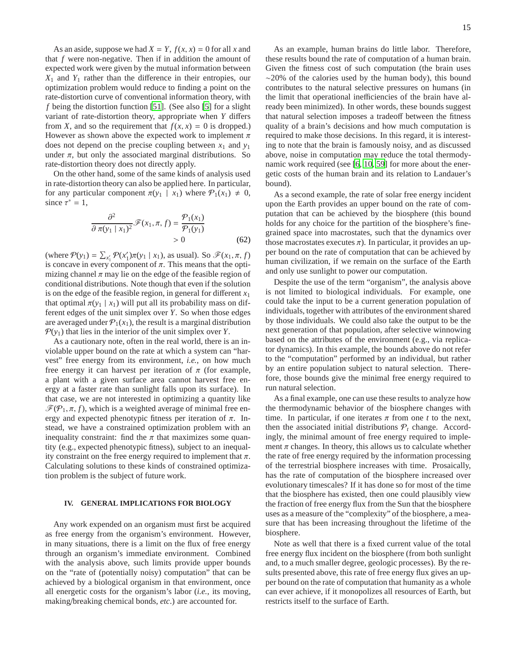As an aside, suppose we had  $X = Y$ ,  $f(x, x) = 0$  for all *x* and that *f* were non-negative. Then if in addition the amount of expected work were given by the mutual information between *X*<sup>1</sup> and *Y*<sup>1</sup> rather than the difference in their entropies, our optimization problem would reduce to finding a point on the rate-distortion curve of conventional information theory, with *f* being the distortion function [\[51](#page-18-12)]. (See also [\[5](#page-17-1)] for a slight variant of rate-distortion theory, appropriate when *Y* differs from *X*, and so the requirement that  $f(x, x) = 0$  is dropped.) However as shown above the expected work to implement  $\pi$ does not depend on the precise coupling between  $x_1$  and  $y_1$ under  $\pi$ , but only the associated marginal distributions. So rate-distortion theory does not directly apply.

On the other hand, some of the same kinds of analysis used in rate-distortion theory can also be applied here. In particular, for any particular component  $\pi(y_1 | x_1)$  where  $\mathcal{P}_1(x_1) \neq 0$ , since  $\tau^* = 1$ ,

$$
\frac{\partial^2}{\partial \pi (y_1 | x_1)^2} \mathcal{F}(x_1, \pi, f) = \frac{\mathcal{P}_1(x_1)}{\mathcal{P}_1(y_1)}
$$
  
> 0 (62)

(where  $P(y_1) = \sum_{x_1'} P(x_1') \pi(y_1 | x_1)$ , as usual). So  $\mathcal{F}(x_1, \pi, f)$ is concave in every component of  $\pi$ . This means that the optimizing channel  $\pi$  may lie on the edge of the feasible region of conditional distributions. Note though that even if the solution is on the edge of the feasible region, in general for different  $x_1$ that optimal  $\pi(y_1 | x_1)$  will put all its probability mass on different edges of the unit simplex over *Y*. So when those edges are averaged under  $P_1(x_1)$ , the result is a marginal distribution  $P(y_1)$  that lies in the interior of the unit simplex over *Y*.

As a cautionary note, often in the real world, there is an inviolable upper bound on the rate at which a system can "harvest" free energy from its environment, *i.e.*, on how much free energy it can harvest per iteration of  $\pi$  (for example, a plant with a given surface area cannot harvest free energy at a faster rate than sunlight falls upon its surface). In that case, we are not interested in optimizing a quantity like  $\mathcal{F}(\mathcal{P}_1, \pi, f)$ , which is a weighted average of minimal free energy and expected phenotypic fitness per iteration of  $\pi$ . Instead, we have a constrained optimization problem with an inequality constraint: find the  $\pi$  that maximizes some quantity (e.g., expected phenotypic fitness), subject to an inequality constraint on the free energy required to implement that  $\pi$ . Calculating solutions to these kinds of constrained optimization problem is the subject of future work.

#### **IV. GENERAL IMPLICATIONS FOR BIOLOGY**

Any work expended on an organism must first be acquired as free energy from the organism's environment. However, in many situations, there is a limit on the flux of free energy through an organism's immediate environment. Combined with the analysis above, such limits provide upper bounds on the "rate of (potentially noisy) computation" that can be achieved by a biological organism in that environment, once all energetic costs for the organism's labor (*i.e.*, its moving, making/breaking chemical bonds, *etc*.) are accounted for.

As an example, human brains do little labor. Therefore, these results bound the rate of computation of a human brain. Given the fitness cost of such computation (the brain uses  $~\sim$ 20% of the calories used by the human body), this bound contributes to the natural selective pressures on humans (in the limit that operational inefficiencies of the brain have already been minimized). In other words, these bounds suggest that natural selection imposes a tradeoff between the fitness quality of a brain's decisions and how much computation is required to make those decisions. In this regard, it is interesting to note that the brain is famously noisy, and as discussed above, noise in computation may reduce the total thermodynamic work required (see [\[6](#page-17-2), [10](#page-17-16), [59](#page-18-13)] for more about the energetic costs of the human brain and its relation to Landauer's bound).

As a second example, the rate of solar free energy incident upon the Earth provides an upper bound on the rate of computation that can be achieved by the biosphere (this bound holds for any choice for the partition of the biosphere's finegrained space into macrostates, such that the dynamics over those macrostates executes  $\pi$ ). In particular, it provides an upper bound on the rate of computation that can be achieved by human civilization, if we remain on the surface of the Earth and only use sunlight to power our computation.

Despite the use of the term "organism", the analysis above is not limited to biological individuals. For example, one could take the input to be a current generation population of individuals, together with attributes of the environment shared by those individuals. We could also take the output to be the next generation of that population, after selective winnowing based on the attributes of the environment (e.g., via replicator dynamics). In this example, the bounds above do not refer to the "computation" performed by an individual, but rather by an entire population subject to natural selection. Therefore, those bounds give the minimal free energy required to run natural selection.

As a final example, one can use these results to analyze how the thermodynamic behavior of the biosphere changes with time. In particular, if one iterates  $\pi$  from one *t* to the next, then the associated initial distributions  $P_t$  change. Accordingly, the minimal amount of free energy required to implement  $\pi$  changes. In theory, this allows us to calculate whether the rate of free energy required by the information processing of the terrestrial biosphere increases with time. Prosaically, has the rate of computation of the biosphere increased over evolutionary timescales? If it has done so for most of the time that the biosphere has existed, then one could plausibly view the fraction of free energy flux from the Sun that the biosphere uses as a measure of the "complexity" of the biosphere, a measure that has been increasing throughout the lifetime of the biosphere.

Note as well that there is a fixed current value of the total free energy flux incident on the biosphere (from both sunlight and, to a much smaller degree, geologic processes). By the results presented above, this rate of free energy flux gives an upper bound on the rate of computation that humanity as a whole can ever achieve, if it monopolizes all resources of Earth, but restricts itself to the surface of Earth.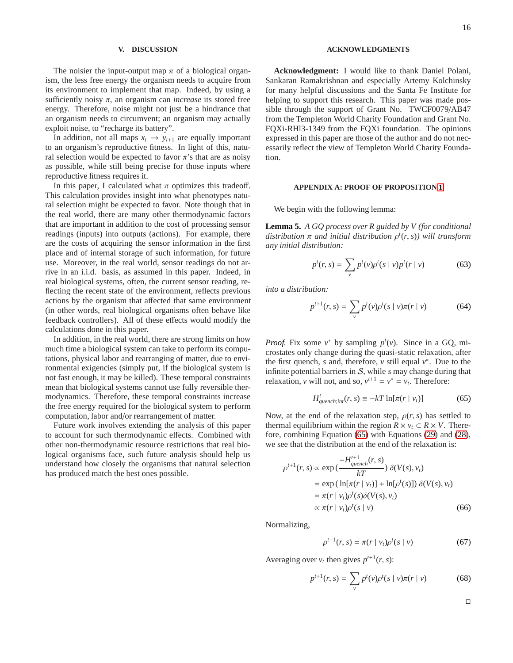### **V. DISCUSSION**

The noisier the input-output map  $\pi$  of a biological organism, the less free energy the organism needs to acquire from its environment to implement that map. Indeed, by using a sufficiently noisy  $\pi$ , an organism can *increase* its stored free energy. Therefore, noise might not just be a hindrance that an organism needs to circumvent; an organism may actually exploit noise, to "recharge its battery".

In addition, not all maps  $x_t \rightarrow y_{t+1}$  are equally important to an organism's reproductive fitness. In light of this, natural selection would be expected to favor  $\pi$ 's that are as noisy as possible, while still being precise for those inputs where reproductive fitness requires it.

In this paper, I calculated what  $\pi$  optimizes this tradeoff. This calculation provides insight into what phenotypes natural selection might be expected to favor. Note though that in the real world, there are many other thermodynamic factors that are important in addition to the cost of processing sensor readings (inputs) into outputs (actions). For example, there are the costs of acquiring the sensor information in the first place and of internal storage of such information, for future use. Moreover, in the real world, sensor readings do not arrive in an i.i.d. basis, as assumed in this paper. Indeed, in real biological systems, often, the current sensor reading, reflecting the recent state of the environment, reflects previous actions by the organism that affected that same environment (in other words, real biological organisms often behave like feedback controllers). All of these effects would modify the calculations done in this paper.

In addition, in the real world, there are strong limits on how much time a biological system can take to perform its computations, physical labor and rearranging of matter, due to environmental exigencies (simply put, if the biological system is not fast enough, it may be killed). These temporal constraints mean that biological systems cannot use fully reversible thermodynamics. Therefore, these temporal constraints increase the free energy required for the biological system to perform computation, labor and/or rearrangement of matter.

Future work involves extending the analysis of this paper to account for such thermodynamic effects. Combined with other non-thermodynamic resource restrictions that real biological organisms face, such future analysis should help us understand how closely the organisms that natural selection has produced match the best ones possible.

# **ACKNOWLEDGMENTS**

**Acknowledgment:** I would like to thank Daniel Polani, Sankaran Ramakrishnan and especially Artemy Kolchinsky for many helpful discussions and the Santa Fe Institute for helping to support this research. This paper was made possible through the support of Grant No. TWCF0079/AB47 from the Templeton World Charity Foundation and Grant No. FQXi-RHl3-1349 from the FQXi foundation. The opinions expressed in this paper are those of the author and do not necessarily reflect the view of Templeton World Charity Foundation.

### **APPENDIX A: PROOF OF PROPOSITION [1](#page-7-1)**

We begin with the following lemma:

**Lemma 5.** *A GQ process over R guided by V (for conditional distribution* π *and initial distribution* ρ *t* (*r*, *s*)*) will transform any initial distribution:*

$$
p^{t}(r,s) = \sum_{v} p^{t}(v)\rho^{t}(s \mid v)p^{t}(r \mid v)
$$
 (63)

*into a distribution:*

<span id="page-15-1"></span>
$$
p^{t+1}(r,s) = \sum_{v} p^{t}(v) \rho^{t}(s \mid v) \pi(r \mid v)
$$
 (64)

*Proof.* Fix some  $v^*$  by sampling  $p^t(v)$ . Since in a GQ, microstates only change during the quasi-static relaxation, after the first quench, *s* and, therefore, *v* still equal  $v^*$ . Due to the infinite potential barriers in S, while *s* may change during that relaxation, *v* will not, and so,  $v^{t+1} = v^* = v_t$ . Therefore:

<span id="page-15-0"></span>
$$
H_{quench;int}^{t}(r, s) \equiv -kT \ln[\pi(r \mid v_t)] \tag{65}
$$

Now, at the end of the relaxation step,  $\rho(r, s)$  has settled to thermal equilibrium within the region  $R \times v_t \subset R \times V$ . Therefore, combining Equation [\(65\)](#page-15-0) with Equations [\(29\)](#page-6-2) and [\(28\)](#page-6-3), we see that the distribution at the end of the relaxation is:

$$
\rho^{t+1}(r, s) \propto \exp\left(\frac{-H_{quench}^{t+1}(r, s)}{kT}\right) \delta(V(s), v_t)
$$
  
= 
$$
\exp\left(\ln[\pi(r \mid v_t)] + \ln[\rho^t(s)]\right) \delta(V(s), v_t)
$$
  
= 
$$
\pi(r \mid v_t)\rho^t(s)\delta(V(s), v_t)
$$
  

$$
\propto \pi(r \mid v_t)\rho^t(s \mid v) \qquad (66)
$$

Normalizing,

$$
\rho^{t+1}(r,s) = \pi(r \mid v_t)\rho^t(s \mid v) \tag{67}
$$

Averaging over  $v_t$  then gives  $p^{t+1}(r, s)$ :

$$
p^{t+1}(r,s) = \sum_{v} p^t(v) \rho^t(s \mid v) \pi(r \mid v)
$$
 (68)

16

 $\Box$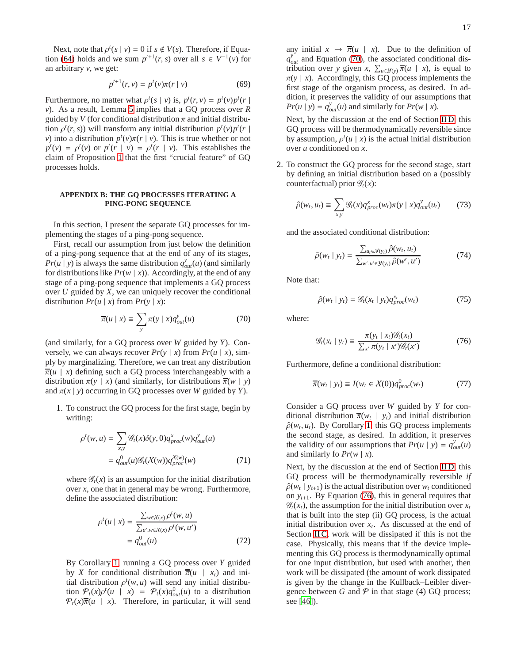Next, note that  $\rho^t(s | v) = 0$  if  $s \notin V(s)$ . Therefore, if Equa-tion [\(64\)](#page-15-1) holds and we sum  $p^{t+1}(r, s)$  over all  $s \in V^{-1}(v)$  for an arbitrary *v*, we get:

$$
p^{t+1}(r, v) = p^t(v)\pi(r \mid v)
$$
 (69)

Furthermore, no matter what  $\rho^t(s | v)$  is,  $p^t(r, v) = p^t(v)p^t(r | v)$ *v*). As a result, Lemma [5](#page-15-1) implies that a GQ process over *R* guided by *V* (for conditional distribution  $\pi$  and initial distribution  $\rho^t(r, s)$ ) will transform any initial distribution  $p^t(v)p^t(r)$ *v*) into a distribution  $p^t(v)\pi(r|v)$ . This is true whether or not  $p^t(v) = \rho^t(v)$  or  $p^t(r | v) = \rho^t(r | v)$ . This establishes the claim of Proposition [1](#page-7-1) that the first "crucial feature" of GQ processes holds.

# **APPENDIX B: THE GQ PROCESSES ITERATING A PING-PONG SEQUENCE**

In this section, I present the separate GQ processes for implementing the stages of a ping-pong sequence.

First, recall our assumption from just below the definition of a ping-pong sequence that at the end of any of its stages, *Pr*(*u* | *y*) is always the same distribution  $q_{out}^{y}(u)$  (and similarly for distributions like  $Pr(w | x)$ ). Accordingly, at the end of any stage of a ping-pong sequence that implements a GQ process over *U* guided by *X*, we can uniquely recover the conditional distribution  $Pr(u \mid x)$  from  $Pr(y \mid x)$ :

<span id="page-16-0"></span>
$$
\overline{\pi}(u \mid x) \equiv \sum_{y} \pi(y \mid x) q_{out}^{y}(u) \tag{70}
$$

(and similarly, for a GQ process over *W* guided by *Y*). Conversely, we can always recover  $Pr(y | x)$  from  $Pr(u | x)$ , simply by marginalizing. Therefore, we can treat any distribution  $\overline{\pi}(u \mid x)$  defining such a GQ process interchangeably with a distribution  $\pi(y \mid x)$  (and similarly, for distributions  $\overline{\pi}(w \mid y)$ ) and  $\pi(x | y)$  occurring in GQ processes over *W* guided by *Y*).

1. To construct the GQ process for the first stage, begin by writing:

$$
\rho^{t}(w, u) = \sum_{x,y} \mathcal{G}_{t}(x)\delta(y, 0)q_{proc}^{x}(w)q_{out}^{y}(u)
$$

$$
= q_{out}^{0}(u)\mathcal{G}_{t}(X(w))q_{proc}^{X(w)}(w)
$$
(71)

where  $\mathscr{G}_t(x)$  is an assumption for the initial distribution over *x*, one that in general may be wrong. Furthermore, define the associated distribution:

$$
\rho^{t}(u \mid x) = \frac{\sum_{w \in X(x)} \rho^{t}(w, u)}{\sum_{u', w \in X(x)} \rho^{t}(w, u')}
$$
  
=  $q_{out}^{0}(u)$  (72)

By Corollary [1,](#page-7-1) running a GQ process over *Y* guided by *X* for conditional distribution  $\overline{\pi}(u \mid x_t)$  and initial distribution  $\rho^t(w, u)$  will send any initial distribution  $P_t(x) \rho^t(u \mid x) = P_t(x) q^0_{out}(u)$  to a distribution  $P_t(x)\overline{\pi}(u \mid x)$ . Therefore, in particular, it will send any initial  $x \to \overline{\pi}(u \mid x)$ . Due to the definition of  $q_{out}^y$  and Equation [\(70\)](#page-16-0), the associated conditional distribution over *y* given *x*,  $\sum_{u \in \mathcal{Y}(y)} \overline{\pi}(u \mid x)$ , is equal to  $\pi(y \mid x)$ . Accordingly, this GQ process implements the first stage of the organism process, as desired. In addition, it preserves the validity of our assumptions that  $Pr(u \mid y) = q_{out}^{y}(u)$  and similarly for  $Pr(w \mid x)$ .

Next, by the discussion at the end of Section [II D,](#page-6-0) this GQ process will be thermodynamically reversible since by assumption,  $\rho^{t}(u \mid x)$  is the actual initial distribution over *u* conditioned on *x*.

2. To construct the GQ process for the second stage, start by defining an initial distribution based on a (possibly counterfactual) prior  $\mathscr{G}_t(x)$ :

$$
\hat{\rho}(w_t, u_t) \equiv \sum_{x,y} \mathcal{G}_t(x) q_{proc}^x(w_t) \pi(y \mid x) q_{out}^y(u_t) \tag{73}
$$

and the associated conditional distribution:

$$
\hat{\rho}(w_t \mid y_t) = \frac{\sum_{u_t \in \mathcal{Y}(y_t)} \hat{\rho}(w_t, u_t)}{\sum_{w', u' \in \mathcal{Y}(y_t)} \hat{\rho}(w', u')} \tag{74}
$$

Note that:

$$
\hat{\rho}(w_t \mid y_t) = \mathcal{G}_t(x_t \mid y_t) q_{proc}^{x_t}(w_t)
$$
\n(75)

where:

<span id="page-16-1"></span>
$$
\mathcal{G}_t(x_t \mid y_t) \equiv \frac{\pi(y_t \mid x_t) \mathcal{G}_t(x_t)}{\sum_{x'} \pi(y_t \mid x') \mathcal{G}_t(x')} \tag{76}
$$

Furthermore, define a conditional distribution:

$$
\overline{\pi}(w_t \mid y_t) \equiv I(w_t \in \mathcal{X}(0)) q_{proc}^0(w_t)
$$
 (77)

Consider a GQ process over *W* guided by *Y* for conditional distribution  $\overline{\pi}(w_t | y_t)$  and initial distribution  $\hat{\rho}(w_t, u_t)$ . By Corollary [1,](#page-7-1) this GQ process implements the second stage, as desired. In addition, it preserves the validity of our assumptions that  $Pr(u | y) = q_{out}^{y}(u)$ and similarly fo  $Pr(w | x)$ .

Next, by the discussion at the end of Section [II D,](#page-6-0) this GQ process will be thermodynamically reversible *if*  $\hat{\rho}(w_t | y_{t+1})$  is the actual distribution over  $w_t$  conditioned on  $y_{t+1}$ . By Equation [\(76\)](#page-16-1), this in general requires that  $\mathscr{G}_t(x_t)$ , the assumption for the initial distribution over  $x_t$ that is built into the step (ii) GQ process, is the actual initial distribution over  $x_t$ . As discussed at the end of Section [II C,](#page-4-0) work will be dissipated if this is not the case. Physically, this means that if the device implementing this GQ process is thermodynamically optimal for one input distribution, but used with another, then work will be dissipated (the amount of work dissipated is given by the change in the Kullback–Leibler divergence between  $G$  and  $\mathcal P$  in that stage (4) GQ process; see [\[46\]](#page-18-1)).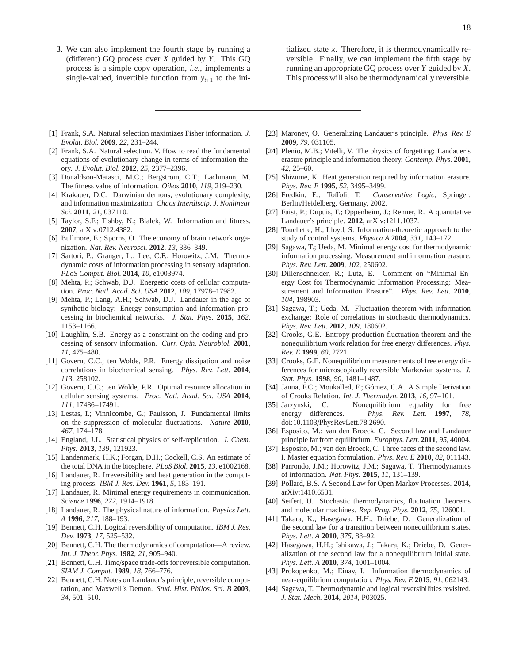3. We can also implement the fourth stage by running a (different) GQ process over *X* guided by *Y*. This GQ process is a simple copy operation, *i.e.*, implements a single-valued, invertible function from  $y_{t+1}$  to the initialized state *x*. Therefore, it is thermodynamically reversible. Finally, we can implement the fifth stage by running an appropriate GQ process over *Y* guided by *X*. This process will also be thermodynamically reversible.

- <span id="page-17-0"></span>[1] Frank, S.A. Natural selection maximizes Fisher information. *J. Evolut. Biol.* **2009**, *22*, 231–244.
- [2] Frank, S.A. Natural selection. V. How to read the fundamental equations of evolutionary change in terms of information theory. *J. Evolut. Biol.* **2012**, *25*, 2377–2396.
- [3] Donaldson-Matasci, M.C.; Bergstrom, C.T.; Lachmann, M. The fitness value of information. *Oikos* **2010**, *119*, 219–230.
- [4] Krakauer, D.C. Darwinian demons, evolutionary complexity, and information maximization. *Chaos Interdiscip. J. Nonlinear Sci.* **2011**, *21*, 037110.
- <span id="page-17-1"></span>[5] Taylor, S.F.; Tishby, N.; Bialek, W. Information and fitness. **2007**, arXiv:0712.4382.
- <span id="page-17-2"></span>[6] Bullmore, E.; Sporns, O. The economy of brain network organization. *Nat. Rev. Neurosci.* **2012**, *13*, 336–349.
- [7] Sartori, P.; Granger, L.; Lee, C.F.; Horowitz, J.M. Thermodynamic costs of information processing in sensory adaptation. *PLoS Comput. Biol.* **2014**, *10*, e1003974.
- [8] Mehta, P.; Schwab, D.J. Energetic costs of cellular computation. *Proc. Natl. Acad. Sci. USA* **2012**, *109*, 17978–17982.
- [9] Mehta, P.; Lang, A.H.; Schwab, D.J. Landauer in the age of synthetic biology: Energy consumption and information processing in biochemical networks. *J. Stat. Phys.* **2015**, *162*, 1153–1166.
- <span id="page-17-16"></span>[10] Laughlin, S.B. Energy as a constraint on the coding and processing of sensory information. *Curr. Opin. Neurobiol.* **2001**, *11*, 475–480.
- [11] Govern, C.C.; ten Wolde, P.R. Energy dissipation and noise correlations in biochemical sensing. *Phys. Rev. Lett.* **2014**, *113*, 258102.
- [12] Govern, C.C.; ten Wolde, P.R. Optimal resource allocation in cellular sensing systems. *Proc. Natl. Acad. Sci. USA* **2014**, *111*, 17486–17491.
- [13] Lestas, I.; Vinnicombe, G.; Paulsson, J. Fundamental limits on the suppression of molecular fluctuations. *Nature* **2010**, *467*, 174–178.
- <span id="page-17-13"></span>[14] England, J.L. Statistical physics of self-replication. *J. Chem. Phys.* **2013**, *139*, 121923.
- <span id="page-17-3"></span>[15] Landenmark, H.K.; Forgan, D.H.; Cockell, C.S. An estimate of the total DNA in the biosphere. *PLoS Biol.* **2015**, *13*, e1002168.
- <span id="page-17-4"></span>[16] Landauer, R. Irreversibility and heat generation in the computing process. *IBM J. Res. Dev.* **1961**, *5*, 183–191.
- [17] Landauer, R. Minimal energy requirements in communication. *Science* **1996**, *272*, 1914–1918.
- [18] Landauer, R. The physical nature of information. *Physics Lett. A* **1996**, *217*, 188–193.
- [19] Bennett, C.H. Logical reversibility of computation. *IBM J. Res. Dev.* **1973**, *17*, 525–532.
- <span id="page-17-6"></span>[20] Bennett, C.H. The thermodynamics of computation—A review. *Int. J. Theor. Phys.* **1982**, *21*, 905–940.
- [21] Bennett, C.H. Time/space trade-offs for reversible computation. *SIAM J. Comput.* **1989**, *18*, 766–776.
- <span id="page-17-7"></span>[22] Bennett, C.H. Notes on Landauer's principle, reversible computation, and Maxwell's Demon. *Stud. Hist. Philos. Sci. B* **2003**, *34*, 501–510.
- [23] Maroney, O. Generalizing Landauer's principle. *Phys. Rev. E* **2009**, *79*, 031105.
- [24] Plenio, M.B.; Vitelli, V. The physics of forgetting: Landauer's erasure principle and information theory. *Contemp. Phys.* **2001**, *42*, 25–60.
- [25] Shizume, K. Heat generation required by information erasure. *Phys. Rev. E* **1995**, *52*, 3495–3499.
- <span id="page-17-5"></span>[26] Fredkin, E.; Toffoli, T. *Conservative Logic*; Springer: Berlin/Heidelberg, Germany, 2002.
- <span id="page-17-8"></span>[27] Faist, P.; Dupuis, F.; Oppenheim, J.; Renner, R. A quantitative Landauer's principle. **2012**, arXiv:1211.1037.
- [28] Touchette, H.; Lloyd, S. Information-theoretic approach to the study of control systems. *Physica A* **2004**, *331*, 140–172.
- [29] Sagawa, T.; Ueda, M. Minimal energy cost for thermodynamic information processing: Measurement and information erasure. *Phys. Rev. Lett.* **2009**, *102*, 250602.
- [30] Dillenschneider, R.; Lutz, E. Comment on "Minimal Energy Cost for Thermodynamic Information Processing: Measurement and Information Erasure". *Phys. Rev. Lett.* **2010**, *104*, 198903.
- [31] Sagawa, T.; Ueda, M. Fluctuation theorem with information exchange: Role of correlations in stochastic thermodynamics. *Phys. Rev. Lett.* **2012**, *109*, 180602.
- <span id="page-17-14"></span>[32] Crooks, G.E. Entropy production fluctuation theorem and the nonequilibrium work relation for free energy differences. *Phys. Rev. E* **1999**, *60*, 2721.
- <span id="page-17-15"></span>[33] Crooks, G.E. Nonequilibrium measurements of free energy differences for microscopically reversible Markovian systems. *J. Stat. Phys.* **1998**, *90*, 1481–1487.
- [34] Janna, F.C.; Moukalled, F.; Gómez, C.A. A Simple Derivation of Crooks Relation. *Int. J. Thermodyn.* **2013**, *16*, 97–101.
- [35] Jarzynski, C. Nonequilibrium equality for free energy differences. *Phys. Rev. Lett.* **1997**, *78*, doi:10.1103/PhysRevLett.78.2690.
- <span id="page-17-10"></span>[36] Esposito, M.; van den Broeck, C. Second law and Landauer principle far from equilibrium. *Europhys. Lett.* **2011**, *95*, 40004.
- [37] Esposito, M.; van den Broeck, C. Three faces of the second law. I. Master equation formulation. *Phys. Rev. E* **2010**, *82*, 011143.
- <span id="page-17-11"></span>[38] Parrondo, J.M.; Horowitz, J.M.; Sagawa, T. Thermodynamics of information. *Nat. Phys.* **2015**, *11*, 131–139.
- [39] Pollard, B.S. A Second Law for Open Markov Processes. **2014**, arXiv:1410.6531.
- [40] Seifert, U. Stochastic thermodynamics, fluctuation theorems and molecular machines. *Rep. Prog. Phys.* **2012**, *75*, 126001.
- [41] Takara, K.; Hasegawa, H.H.; Driebe, D. Generalization of the second law for a transition between nonequilibrium states. *Phys. Lett. A* **2010**, *375*, 88–92.
- [42] Hasegawa, H.H.; Ishikawa, J.; Takara, K.; Driebe, D. Generalization of the second law for a nonequilibrium initial state. *Phys. Lett. A* **2010**, *374*, 1001–1004.
- <span id="page-17-9"></span>[43] Prokopenko, M.; Einav, I. Information thermodynamics of near-equilibrium computation. *Phys. Rev. E* **2015**, *91*, 062143.
- <span id="page-17-12"></span>[44] Sagawa, T. Thermodynamic and logical reversibilities revisited. *J. Stat. Mech.* **2014**, *2014*, P03025.